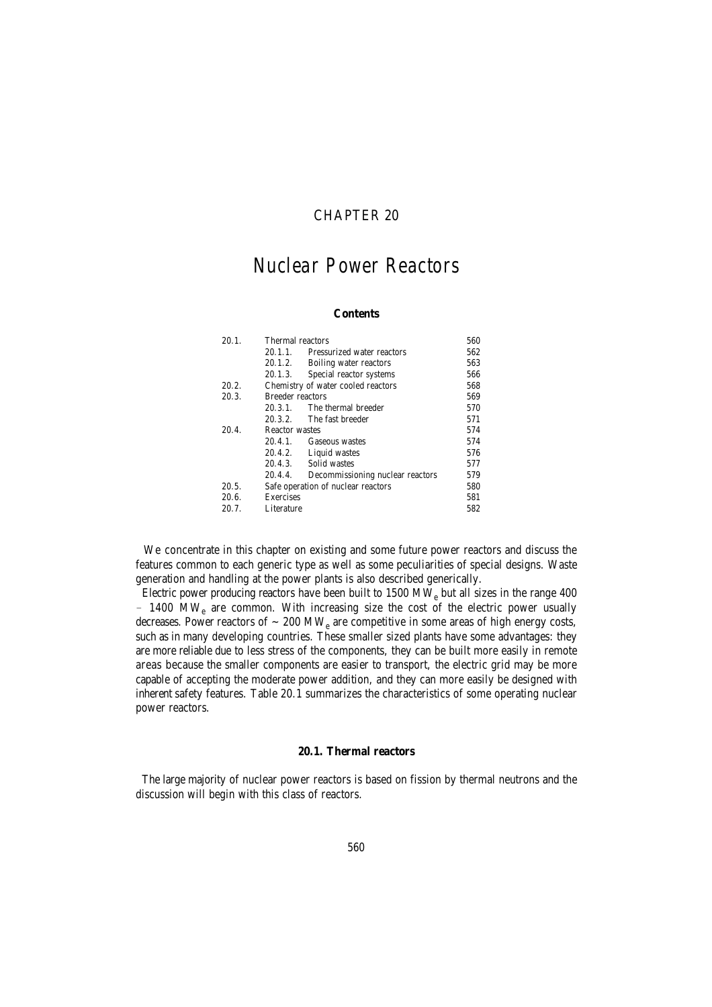## CHAPTER 20

# *Nuclear Power Reactors*

#### **Contents**

| 20.1. | Thermal reactors        |                                    | 560 |
|-------|-------------------------|------------------------------------|-----|
|       |                         | 20.1.1. Pressurized water reactors | 562 |
|       | 20.1.2.                 | Boiling water reactors             | 563 |
|       | 20.1.3.                 | Special reactor systems            | 566 |
| 20.2. |                         | Chemistry of water cooled reactors | 568 |
| 20.3. | <b>Breeder reactors</b> |                                    | 569 |
|       | 20.3.1.                 | The thermal breeder                | 570 |
|       |                         | 20.3.2. The fast breeder           | 571 |
| 20.4. | <b>Reactor wastes</b>   |                                    | 574 |
|       | $20.4.1$ .              | <b>Gaseous wastes</b>              | 574 |
|       |                         | 20.4.2. Liquid wastes              | 576 |
|       | 20.4.3.                 | Solid wastes                       | 577 |
|       | 20.4.4.                 | Decommissioning nuclear reactors   | 579 |
| 20.5. |                         | Safe operation of nuclear reactors | 580 |
| 20.6. | <b>Exercises</b>        |                                    | 581 |
| 20.7. | Literature              |                                    | 582 |
|       |                         |                                    |     |

 We concentrate in this chapter on existing and some future power reactors and discuss the features common to each generic type as well as some peculiarities of special designs. Waste generation and handling at the power plants is also described generically.

Electric power producing reactors have been built to  $1500$  MW<sub>e</sub> but all sizes in the range  $400$  $-$  1400 MW<sub>e</sub> are common. With increasing size the cost of the electric power usually decreases. Power reactors of  $\sim 200 \text{ MW}$  are competitive in some areas of high energy costs, such as in many developing countries. These smaller sized plants have some advantages: they are more reliable due to less stress of the components, they can be built more easily in remote areas because the smaller components are easier to transport, the electric grid may be more capable of accepting the moderate power addition, and they can more easily be designed with inherent safety features. Table 20.1 summarizes the characteristics of some operating nuclear power reactors.

## **20.1. Thermal reactors**

 The large majority of nuclear power reactors is based on fission by thermal neutrons and the discussion will begin with this class of reactors.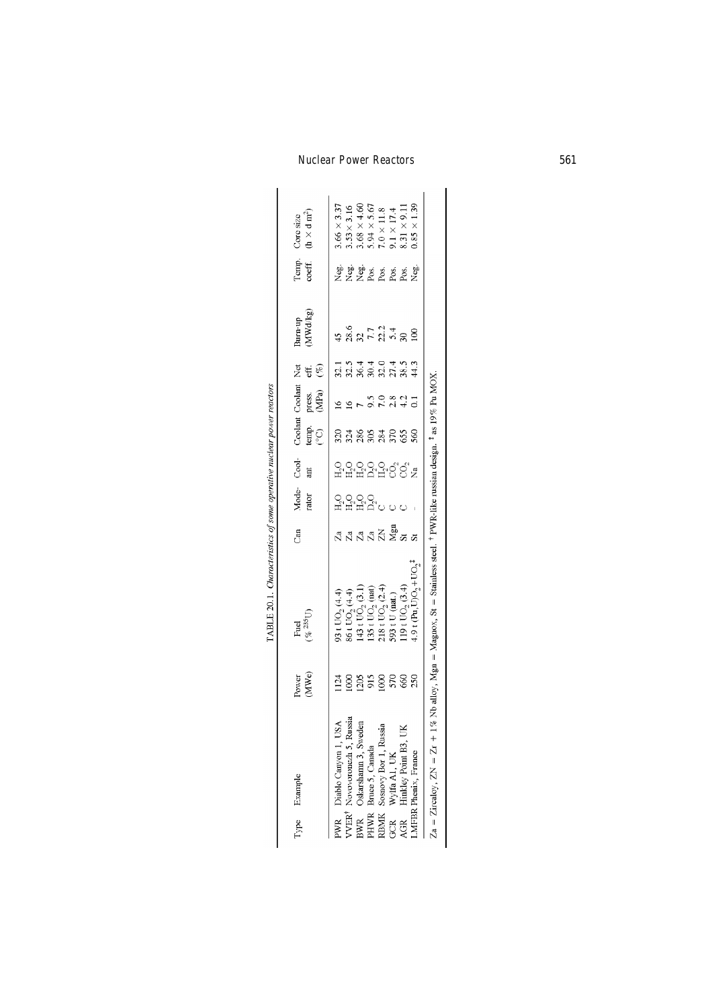*Nuclear Power Reactors* 561

| Type Example                                                                                                                               | Power<br>MWe) | Fuel $\%$ $^{235}\mathrm{U)}$                   | $\mathbb{C}$ an             | Mode-<br>rator  | Cool-<br>$\overline{a}$ |                    | Coolant Coolant<br>temp. press.<br>$(^{\circ}C)$ (MPa) | Ă<br>$(\mathscr{C})$<br>eff.                                                                                                                                                                        | MWd/kg)<br>Burn-up     | Tomp.<br>coeff.                            | Core size $(\mathbf{h}\times\mathbf{d}\ \mathbf{m}^2)$                                                                                                                                                                                        |
|--------------------------------------------------------------------------------------------------------------------------------------------|---------------|-------------------------------------------------|-----------------------------|-----------------|-------------------------|--------------------|--------------------------------------------------------|-----------------------------------------------------------------------------------------------------------------------------------------------------------------------------------------------------|------------------------|--------------------------------------------|-----------------------------------------------------------------------------------------------------------------------------------------------------------------------------------------------------------------------------------------------|
|                                                                                                                                            |               | 93 t UO <sub>2</sub> (4.4)                      |                             |                 |                         |                    |                                                        |                                                                                                                                                                                                     |                        |                                            |                                                                                                                                                                                                                                               |
| PWR Diablo Canyon 1, USA<br>VVER <sup>†</sup> Novovoronezh 5, Russia                                                                       |               | 86 t UO <sub>2</sub> (4.4)                      | ម្មដូន មូន<br>ម្លាំង មូន មូ | ೦,೦,೦<br>ದಗ್ನರ್ | dayaaca<br>FFFFF60      | ន្លន្លន្លន្លន្លន្ល |                                                        | $\frac{1}{2}$ $\frac{1}{2}$ $\frac{4}{2}$ $\frac{4}{2}$ $\frac{5}{2}$ $\frac{4}{2}$ $\frac{6}{2}$ $\frac{4}{2}$ $\frac{6}{2}$ $\frac{4}{2}$ $\frac{6}{2}$ $\frac{7}{2}$ $\frac{8}{2}$ $\frac{4}{2}$ | $488.724$<br>$488.724$ | si<br>2 2 2 2 3 3 3 3 3<br>2 2 2 2 2 2 3 2 | $\begin{array}{l} 3.57 \\ 3.53 \times 3.16 \\ 3.53 \times 3.16 \\ 3.68 \times 4.60 \\ 5.94 \times 5.67 \\ 7.0 \times 11.8 \\ 9.1 \times 17.4 \\ 9.31 \times 9.11 \\ 8.31 \times 9.11 \\ 8.01 \times 11.39 \\ 0.08 \times 1.39 \\ \end{array}$ |
| Oskarshama 3, Sweden<br>$BWR$ $\sim$                                                                                                       |               |                                                 |                             |                 |                         |                    |                                                        |                                                                                                                                                                                                     |                        |                                            |                                                                                                                                                                                                                                               |
| Bruce 5, Canada<br>PHWR                                                                                                                    |               | 143 t $UO_2$ (3.1)<br>135 t $UO_2$ (nat)        |                             |                 |                         |                    |                                                        |                                                                                                                                                                                                     |                        |                                            |                                                                                                                                                                                                                                               |
| RBMK Sosnovy Bor 1, Russia                                                                                                                 |               | $218 \t1UO2 (2.4)$                              |                             |                 |                         |                    |                                                        |                                                                                                                                                                                                     |                        |                                            |                                                                                                                                                                                                                                               |
| GCR                                                                                                                                        |               | 593 t U (nat.)                                  |                             |                 |                         |                    |                                                        |                                                                                                                                                                                                     |                        |                                            |                                                                                                                                                                                                                                               |
| Wylfa A1, UK Hinkley Point B3, UK<br>AGR                                                                                                   | 8895888       | $(19 \t1 UO2 (3.4))$                            |                             |                 |                         |                    | 50001                                                  |                                                                                                                                                                                                     |                        |                                            |                                                                                                                                                                                                                                               |
| LMFBR Phenix, France                                                                                                                       |               | $4.9$ t (Pu, U)O <sub>2</sub> + UO <sub>2</sub> |                             |                 |                         |                    |                                                        |                                                                                                                                                                                                     |                        |                                            |                                                                                                                                                                                                                                               |
| Za = Zircaloy, ZN = Zr + 1% Nb alloy, Mgn = Magnox, St = Stainless steel. <sup>†</sup> PWR-like russian design. <sup>†</sup> as 19% Pu NOX |               |                                                 |                             |                 |                         |                    |                                                        |                                                                                                                                                                                                     |                        |                                            |                                                                                                                                                                                                                                               |

TABLE 20.1. Characteristics of some operative nuclear power reactors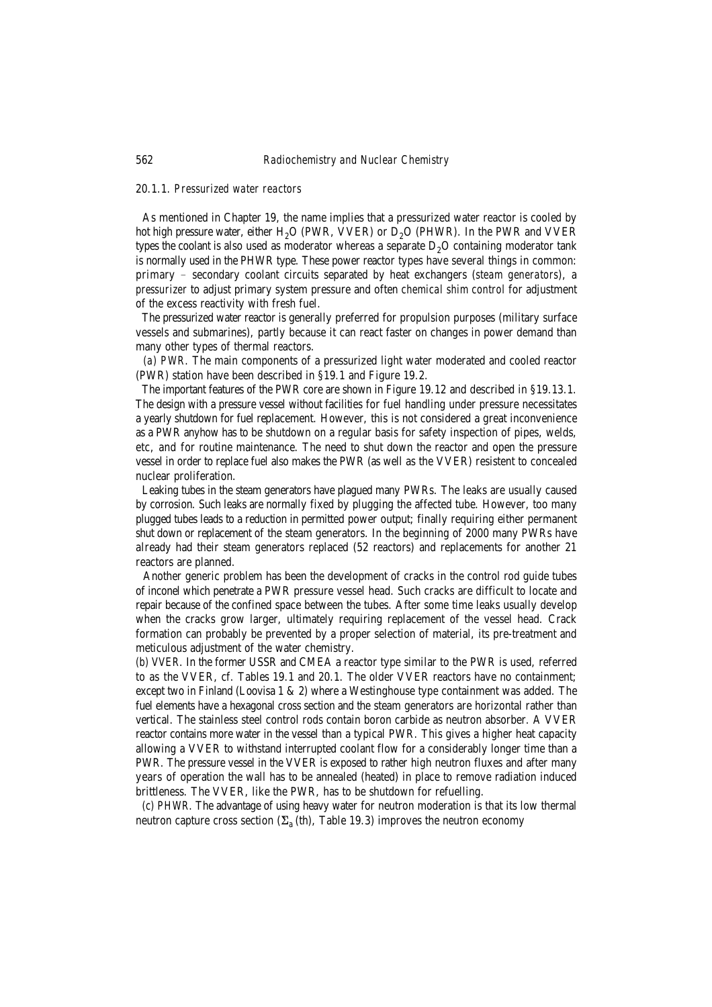## 20.1.1. *Pressurized water reactors*

 As mentioned in Chapter 19, the name implies that a pressurized water reactor is cooled by hot high pressure water, either H<sub>2</sub>O (PWR, VVER) or  $D_2O$  (PHWR). In the PWR and VVER types the coolant is also used as moderator whereas a separate  $D<sub>2</sub>O$  containing moderator tank is normally used in the PHWR type. These power reactor types have several things in common: primary ! secondary coolant circuits separated by heat exchangers (*steam generators*), a *pressurizer* to adjust primary system pressure and often *chemical shim control* for adjustment of the excess reactivity with fresh fuel.

 The pressurized water reactor is generally preferred for propulsion purposes (military surface vessels and submarines), partly because it can react faster on changes in power demand than many other types of thermal reactors.

 *(a) PWR*. The main components of a pressurized light water moderated and cooled reactor (PWR) station have been described in §19.1 and Figure 19.2.

 The important features of the PWR core are shown in Figure 19.12 and described in §19.13.1. The design with a pressure vessel without facilities for fuel handling under pressure necessitates a yearly shutdown for fuel replacement. However, this is not considered a great inconvenience as a PWR anyhow has to be shutdown on a regular basis for safety inspection of pipes, welds, etc, and for routine maintenance. The need to shut down the reactor and open the pressure vessel in order to replace fuel also makes the PWR (as well as the VVER) resistent to concealed nuclear proliferation.

 Leaking tubes in the steam generators have plagued many PWRs. The leaks are usually caused by corrosion. Such leaks are normally fixed by plugging the affected tube. However, too many plugged tubes leads to a reduction in permitted power output; finally requiring either permanent shut down or replacement of the steam generators. In the beginning of 2000 many PWRs have already had their steam generators replaced (52 reactors) and replacements for another 21 reactors are planned.

 Another generic problem has been the development of cracks in the control rod guide tubes of inconel which penetrate a PWR pressure vessel head. Such cracks are difficult to locate and repair because of the confined space between the tubes. After some time leaks usually develop when the cracks grow larger, ultimately requiring replacement of the vessel head. Crack formation can probably be prevented by a proper selection of material, its pre-treatment and meticulous adjustment of the water chemistry.

*(b) VVER*. In the former USSR and CMEA a reactor type similar to the PWR is used, referred to as the VVER, cf. Tables 19.1 and 20.1. The older VVER reactors have no containment; except two in Finland (Loovisa 1 & 2) where a Westinghouse type containment was added. The fuel elements have a hexagonal cross section and the steam generators are horizontal rather than vertical. The stainless steel control rods contain boron carbide as neutron absorber. A VVER reactor contains more water in the vessel than a typical PWR. This gives a higher heat capacity allowing a VVER to withstand interrupted coolant flow for a considerably longer time than a PWR. The pressure vessel in the VVER is exposed to rather high neutron fluxes and after many years of operation the wall has to be annealed (heated) in place to remove radiation induced brittleness. The VVER, like the PWR, has to be shutdown for refuelling.

 *(c) PHWR*. The advantage of using heavy water for neutron moderation is that its low thermal neutron capture cross section  $(\Sigma_a$  (th), Table 19.3) improves the neutron economy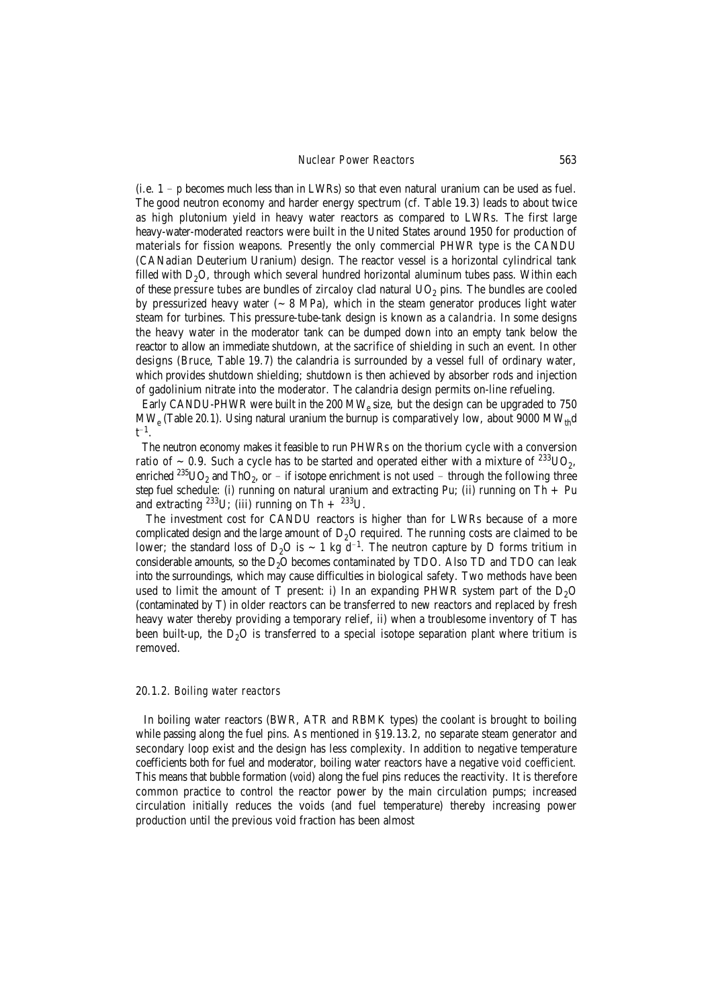(i.e.  $1 - p$  becomes much less than in LWRs) so that even natural uranium can be used as fuel. The good neutron economy and harder energy spectrum (cf. Table 19.3) leads to about twice as high plutonium yield in heavy water reactors as compared to LWRs. The first large heavy-water-moderated reactors were built in the United States around 1950 for production of materials for fission weapons. Presently the only commercial PHWR type is the CANDU (CANadian Deuterium Uranium) design. The reactor vessel is a horizontal cylindrical tank filled with  $D<sub>2</sub>O$ , through which several hundred horizontal aluminum tubes pass. Within each of these *pressure tubes* are bundles of zircaloy clad natural UO<sub>2</sub> pins. The bundles are cooled by pressurized heavy water ( $\sim 8$  MPa), which in the steam generator produces light water steam for turbines. This pressure-tube-tank design is known as a *calandria*. In some designs the heavy water in the moderator tank can be dumped down into an empty tank below the reactor to allow an immediate shutdown, at the sacrifice of shielding in such an event. In other designs (Bruce, Table 19.7) the calandria is surrounded by a vessel full of ordinary water, which provides shutdown shielding; shutdown is then achieved by absorber rods and injection of gadolinium nitrate into the moderator. The calandria design permits on-line refueling.

Early CANDU-PHWR were built in the  $200 \text{ MW}$ <sub>a</sub> size, but the design can be upgraded to  $750$ MW<sub>a</sub> (Table 20.1). Using natural uranium the burnup is comparatively low, about 9000 MW<sub>th</sub>d  $t^{-1}.$ 

 The neutron economy makes it feasible to run PHWRs on the thorium cycle with a conversion ratio of  $\sim 0.9$ . Such a cycle has to be started and operated either with a mixture of <sup>233</sup>UO<sub>2</sub>, enriched <sup>235</sup>UO<sub>2</sub> and ThO<sub>2</sub>, or - if isotope enrichment is not used - through the following three step fuel schedule: (i) running on natural uranium and extracting Pu; (ii) running on Th + Pu and extracting <sup>233</sup>U; (iii) running on Th + <sup>233</sup>U.

 The investment cost for CANDU reactors is higher than for LWRs because of a more complicated design and the large amount of  $D<sub>2</sub>O$  required. The running costs are claimed to be lower; the standard loss of  $D_2O$  is  $\sim 1$  kg d<sup>-1</sup>. The neutron capture by D forms tritium in considerable amounts, so the  $D_2O$  becomes contaminated by TDO. Also TD and TDO can leak into the surroundings, which may cause difficulties in biological safety. Two methods have been used to limit the amount of T present: i) In an expanding PHWR system part of the D<sub>2</sub>O (contaminated by T) in older reactors can be transferred to new reactors and replaced by fresh heavy water thereby providing a temporary relief, ii) when a troublesome inventory of T has been built-up, the  $D_2O$  is transferred to a special isotope separation plant where tritium is removed.

#### 20.1.2. *Boiling water reactors*

 In boiling water reactors (BWR, ATR and RBMK types) the coolant is brought to boiling while passing along the fuel pins. As mentioned in §19.13.2, no separate steam generator and secondary loop exist and the design has less complexity. In addition to negative temperature coefficients both for fuel and moderator, boiling water reactors have a negative *void coefficient*. This means that bubble formation (*void*) along the fuel pins reduces the reactivity. It is therefore common practice to control the reactor power by the main circulation pumps; increased circulation initially reduces the voids (and fuel temperature) thereby increasing power production until the previous void fraction has been almost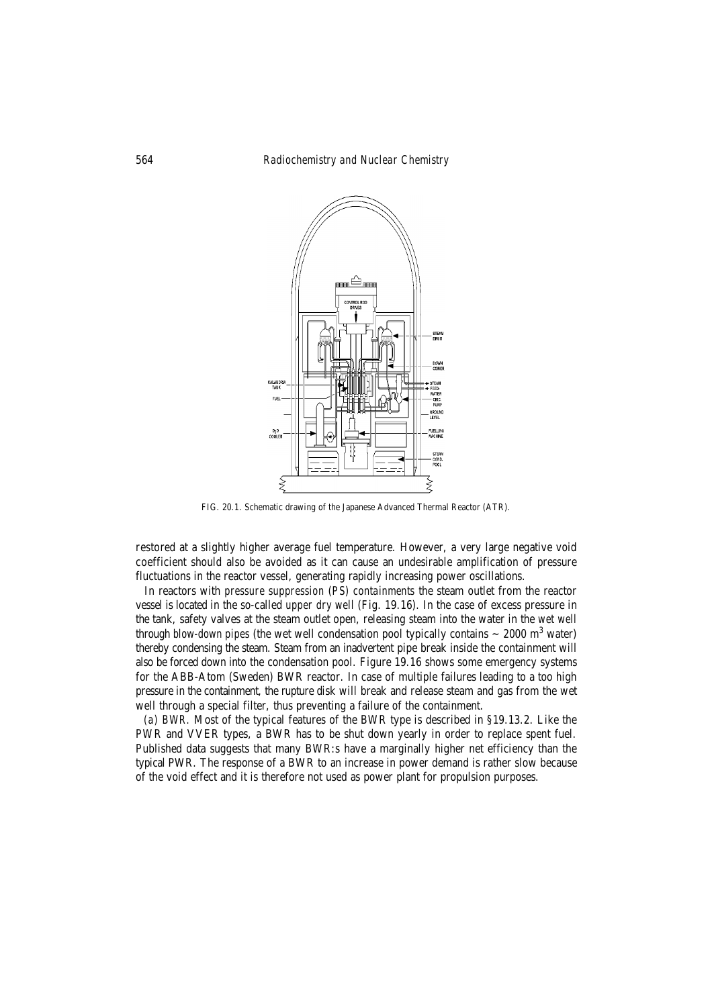

FIG. 20.1. Schematic drawing of the Japanese Advanced Thermal Reactor (ATR).

restored at a slightly higher average fuel temperature. However, a very large negative void coefficient should also be avoided as it can cause an undesirable amplification of pressure fluctuations in the reactor vessel, generating rapidly increasing power oscillations.

 In reactors with *pressure suppression* (*PS*) *containments* the steam outlet from the reactor vessel is located in the so-called *upper dry well* (Fig. 19.16). In the case of excess pressure in the tank, safety valves at the steam outlet open, releasing steam into the water in the *wet well* through *blow-down pipes* (the wet well condensation pool typically contains  $\sim 2000 \text{ m}^3$  water) thereby condensing the steam. Steam from an inadvertent pipe break inside the containment will also be forced down into the condensation pool. Figure 19.16 shows some emergency systems for the ABB-Atom (Sweden) BWR reactor. In case of multiple failures leading to a too high pressure in the containment, the rupture disk will break and release steam and gas from the wet well through a special filter, thus preventing a failure of the containment.

 *(a) BWR.* Most of the typical features of the BWR type is described in §19.13.2. Like the PWR and VVER types, a BWR has to be shut down yearly in order to replace spent fuel. Published data suggests that many BWR:s have a marginally higher net efficiency than the typical PWR. The response of a BWR to an increase in power demand is rather slow because of the void effect and it is therefore not used as power plant for propulsion purposes.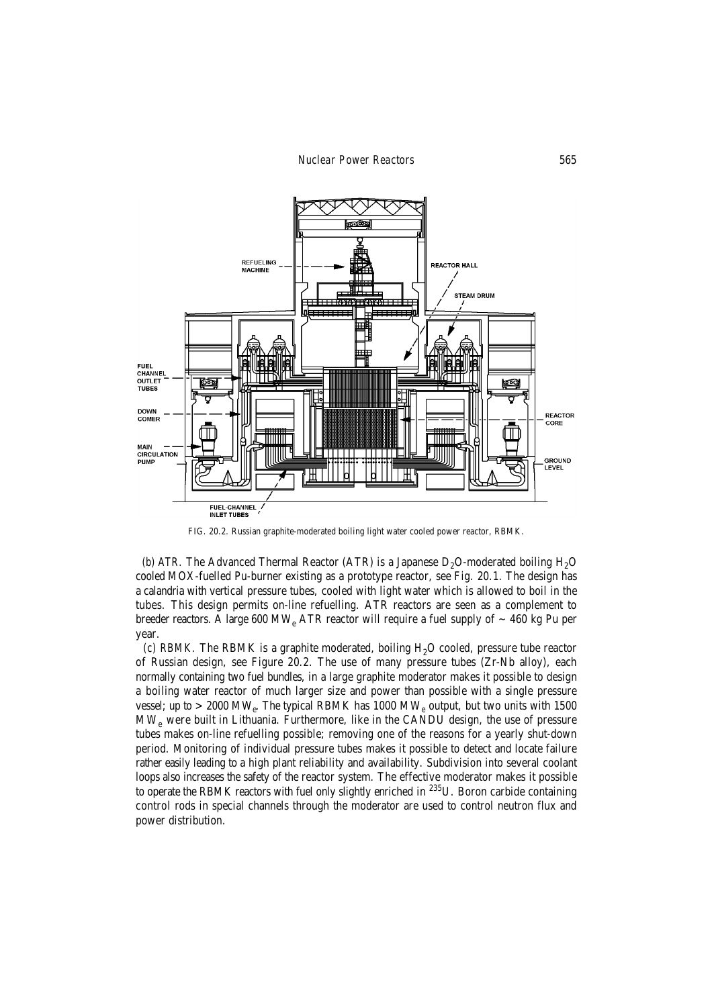

FIG. 20.2. Russian graphite-moderated boiling light water cooled power reactor, RBMK.

*(b) ATR.* The Advanced Thermal Reactor (ATR) is a Japanese  $D_2O$ -moderated boiling  $H_2O$ cooled MOX-fuelled Pu-burner existing as a prototype reactor, see Fig. 20.1. The design has a calandria with vertical pressure tubes, cooled with light water which is allowed to boil in the tubes. This design permits on-line refuelling. ATR reactors are seen as a complement to breeder reactors. A large 600 MW<sub>e</sub> ATR reactor will require a fuel supply of  $\sim$  460 kg Pu per year.

*(c) RBMK*. The RBMK is a graphite moderated, boiling  $H<sub>2</sub>O$  cooled, pressure tube reactor of Russian design, see Figure 20.2. The use of many pressure tubes (Zr-Nb alloy), each normally containing two fuel bundles, in a large graphite moderator makes it possible to design a boiling water reactor of much larger size and power than possible with a single pressure vessel; up to > 2000 MW<sub>e</sub>. The typical RBMK has 1000 MW<sub>e</sub> output, but two units with 1500 MW<sub>e</sub> were built in Lithuania. Furthermore, like in the CANDU design, the use of pressure tubes makes on-line refuelling possible; removing one of the reasons for a yearly shut-down period. Monitoring of individual pressure tubes makes it possible to detect and locate failure rather easily leading to a high plant reliability and availability. Subdivision into several coolant loops also increases the safety of the reactor system. The effective moderator makes it possible to operate the RBMK reactors with fuel only slightly enriched in  $^{235}U$ . Boron carbide containing control rods in special channels through the moderator are used to control neutron flux and power distribution.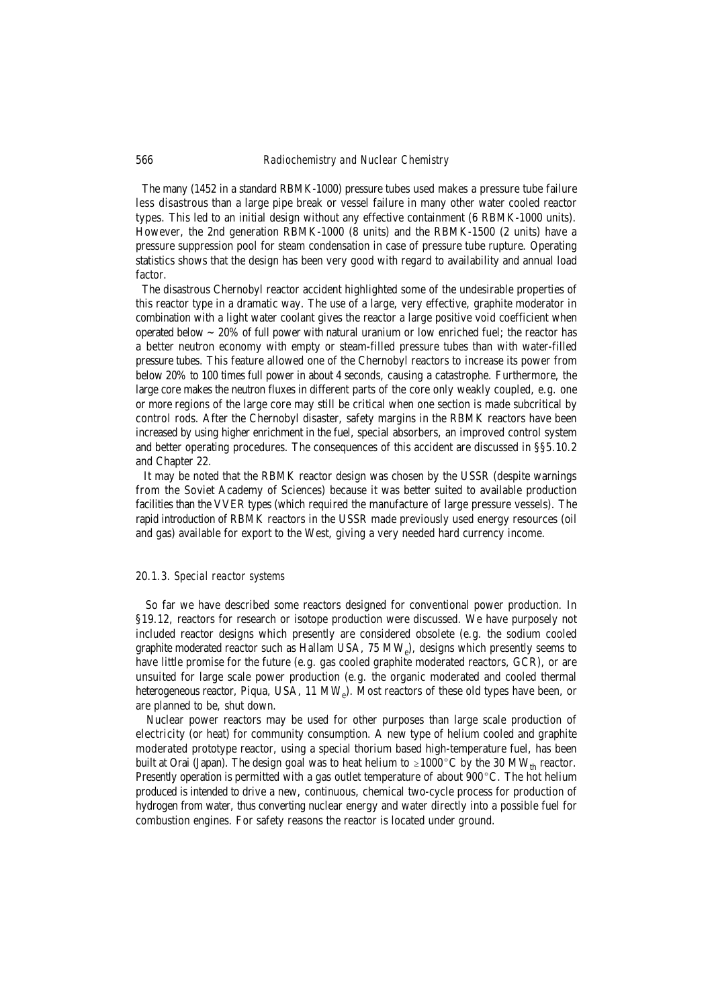The many (1452 in a standard RBMK-1000) pressure tubes used makes a pressure tube failure less disastrous than a large pipe break or vessel failure in many other water cooled reactor types. This led to an initial design without any effective containment (6 RBMK-1000 units). However, the 2nd generation RBMK-1000 (8 units) and the RBMK-1500 (2 units) have a pressure suppression pool for steam condensation in case of pressure tube rupture. Operating statistics shows that the design has been very good with regard to availability and annual load factor.

 The disastrous Chernobyl reactor accident highlighted some of the undesirable properties of this reactor type in a dramatic way. The use of a large, very effective, graphite moderator in combination with a light water coolant gives the reactor a large positive void coefficient when operated below  $\sim$  20% of full power with natural uranium or low enriched fuel; the reactor has a better neutron economy with empty or steam-filled pressure tubes than with water-filled pressure tubes. This feature allowed one of the Chernobyl reactors to increase its power from below 20% to 100 times full power in about 4 seconds, causing a catastrophe. Furthermore, the large core makes the neutron fluxes in different parts of the core only weakly coupled, e.g. one or more regions of the large core may still be critical when one section is made subcritical by control rods. After the Chernobyl disaster, safety margins in the RBMK reactors have been increased by using higher enrichment in the fuel, special absorbers, an improved control system and better operating procedures. The consequences of this accident are discussed in §§5.10.2 and Chapter 22.

 It may be noted that the RBMK reactor design was chosen by the USSR (despite warnings from the Soviet Academy of Sciences) because it was better suited to available production facilities than the VVER types (which required the manufacture of large pressure vessels). The rapid introduction of RBMK reactors in the USSR made previously used energy resources (oil and gas) available for export to the West, giving a very needed hard currency income.

#### 20.1.3. *Special reactor systems*

 So far we have described some reactors designed for conventional power production. In §19.12, reactors for research or isotope production were discussed. We have purposely not included reactor designs which presently are considered obsolete (e.g. the sodium cooled graphite moderated reactor such as Hallam USA, 75 MW<sub>a</sub>), designs which presently seems to have little promise for the future (e.g. gas cooled graphite moderated reactors, GCR), or are unsuited for large scale power production (e.g. the organic moderated and cooled thermal heterogeneous reactor, Piqua, USA,  $11 \text{ MW}_o$ ). Most reactors of these old types have been, or are planned to be, shut down.

 Nuclear power reactors may be used for other purposes than large scale production of electricity (or heat) for community consumption. A new type of helium cooled and graphite moderated prototype reactor, using a special thorium based high-temperature fuel, has been built at Orai (Japan). The design goal was to heat helium to  $\geq 1000^{\circ}C$  by the 30 MW<sub>th</sub> reactor. Presently operation is permitted with a gas outlet temperature of about  $900^{\circ}$ C. The hot helium produced is intended to drive a new, continuous, chemical two-cycle process for production of hydrogen from water, thus converting nuclear energy and water directly into a possible fuel for combustion engines. For safety reasons the reactor is located under ground.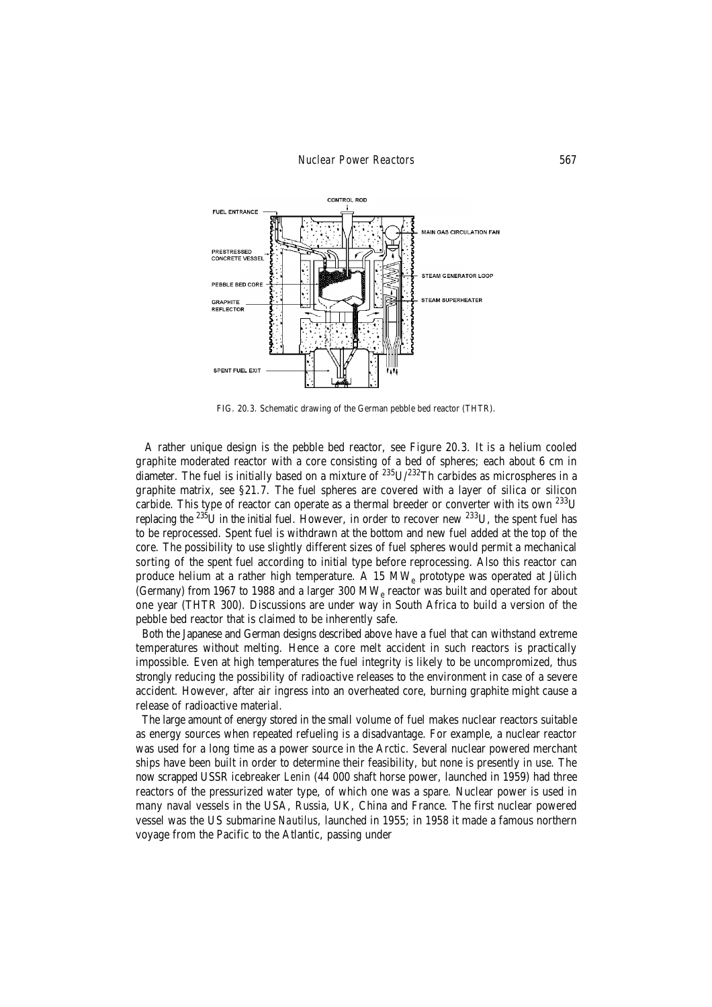*Nuclear Power Reactors* 567



FIG. 20.3. Schematic drawing of the German pebble bed reactor (THTR).

 A rather unique design is the pebble bed reactor, see Figure 20.3. It is a helium cooled graphite moderated reactor with a core consisting of a bed of spheres; each about 6 cm in diameter. The fuel is initially based on a mixture of  $^{235}U/^{232}$ Th carbides as microspheres in a graphite matrix, see §21.7. The fuel spheres are covered with a layer of silica or silicon carbide. This type of reactor can operate as a thermal breeder or converter with its own  $^{233}U$ replacing the <sup>235</sup>U in the initial fuel. However, in order to recover new <sup>233</sup>U, the spent fuel has to be reprocessed. Spent fuel is withdrawn at the bottom and new fuel added at the top of the core. The possibility to use slightly different sizes of fuel spheres would permit a mechanical sorting of the spent fuel according to initial type before reprocessing. Also this reactor can produce helium at a rather high temperature. A 15 MW<sub>o</sub> prototype was operated at Jülich (Germany) from 1967 to 1988 and a larger 300  $MW_e$  reactor was built and operated for about one year (THTR 300). Discussions are under way in South Africa to build a version of the pebble bed reactor that is claimed to be inherently safe.

 Both the Japanese and German designs described above have a fuel that can withstand extreme temperatures without melting. Hence a core melt accident in such reactors is practically impossible. Even at high temperatures the fuel integrity is likely to be uncompromized, thus strongly reducing the possibility of radioactive releases to the environment in case of a severe accident. However, after air ingress into an overheated core, burning graphite might cause a release of radioactive material.

 The large amount of energy stored in the small volume of fuel makes nuclear reactors suitable as energy sources when repeated refueling is a disadvantage. For example, a nuclear reactor was used for a long time as a power source in the Arctic. Several nuclear powered merchant ships have been built in order to determine their feasibility, but none is presently in use. The now scrapped USSR icebreaker *Lenin* (44 000 shaft horse power, launched in 1959) had three reactors of the pressurized water type, of which one was a spare. Nuclear power is used in many naval vessels in the USA, Russia, UK, China and France. The first nuclear powered vessel was the US submarine *Nautilus*, launched in 1955; in 1958 it made a famous northern voyage from the Pacific to the Atlantic, passing under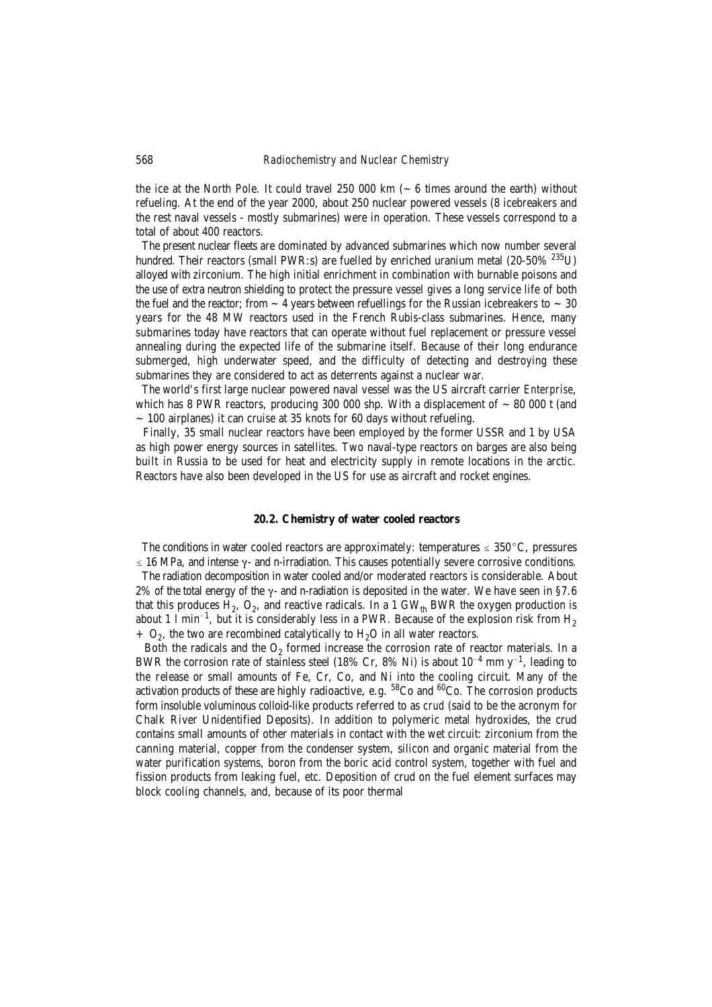the ice at the North Pole. It could travel 250 000 km  $(-6)$  times around the earth) without refueling. At the end of the year 2000, about 250 nuclear powered vessels (8 icebreakers and the rest naval vessels - mostly submarines) were in operation. These vessels correspond to a total of about 400 reactors.

 The present nuclear fleets are dominated by advanced submarines which now number several hundred. Their reactors (small PWR:s) are fuelled by enriched uranium metal (20-50%  $^{235}$ U) alloyed with zirconium. The high initial enrichment in combination with burnable poisons and the use of extra neutron shielding to protect the pressure vessel gives a long service life of both the fuel and the reactor; from  $\sim$  4 years between refuellings for the Russian icebreakers to  $\sim$  30 years for the 48 MW reactors used in the French Rubis-class submarines. Hence, many submarines today have reactors that can operate without fuel replacement or pressure vessel annealing during the expected life of the submarine itself. Because of their long endurance submerged, high underwater speed, and the difficulty of detecting and destroying these submarines they are considered to act as deterrents against a nuclear war.

 The world's first large nuclear powered naval vessel was the US aircraft carrier *Enterprise*, which has 8 PWR reactors, producing 300 000 shp. With a displacement of  $\sim 80$  000 t (and  $\sim$  100 airplanes) it can cruise at 35 knots for 60 days without refueling.

 Finally, 35 small nuclear reactors have been employed by the former USSR and 1 by USA as high power energy sources in satellites. Two naval-type reactors on barges are also being built in Russia to be used for heat and electricity supply in remote locations in the arctic. Reactors have also been developed in the US for use as aircraft and rocket engines.

#### **20.2. Chemistry of water cooled reactors**

The conditions in water cooled reactors are approximately: temperatures  $\leq 350^{\circ}$ C, pressures  $\leq$  16 MPa, and intense  $\gamma$ - and n-irradiation. This causes potentially severe corrosive conditions. The radiation decomposition in water cooled and/or moderated reactors is considerable. About 2% of the total energy of the  $\gamma$ - and n-radiation is deposited in the water. We have seen in §7.6 that this produces  $H_2$ ,  $O_2$ , and reactive radicals. In a 1 GW<sub>th</sub> BWR the oxygen production is about 1  $\overline{1}$  min<sup>-1</sup>, but it is considerably less in a PWR. Because of the explosion risk from  $\overline{H}_2$ +  $O_2$ , the two are recombined catalytically to  $H_2O$  in all water reactors.

Both the radicals and the  $O<sub>2</sub>$  formed increase the corrosion rate of reactor materials. In a BWR the corrosion rate of stainless steel (18% Cr, 8% Ni) is about  $10^{-4}$  mm y<sup>-1</sup>, leading to the release or small amounts of Fe, Cr, Co, and Ni into the cooling circuit. Many of the activation products of these are highly radioactive, e.g.  $^{58}Co$  and  $^{60}Co$ . The corrosion products form insoluble voluminous colloid-like products referred to as *crud* (said to be the acronym for Chalk River Unidentified Deposits). In addition to polymeric metal hydroxides, the crud contains small amounts of other materials in contact with the wet circuit: zirconium from the canning material, copper from the condenser system, silicon and organic material from the water purification systems, boron from the boric acid control system, together with fuel and fission products from leaking fuel, etc. Deposition of crud on the fuel element surfaces may block cooling channels, and, because of its poor thermal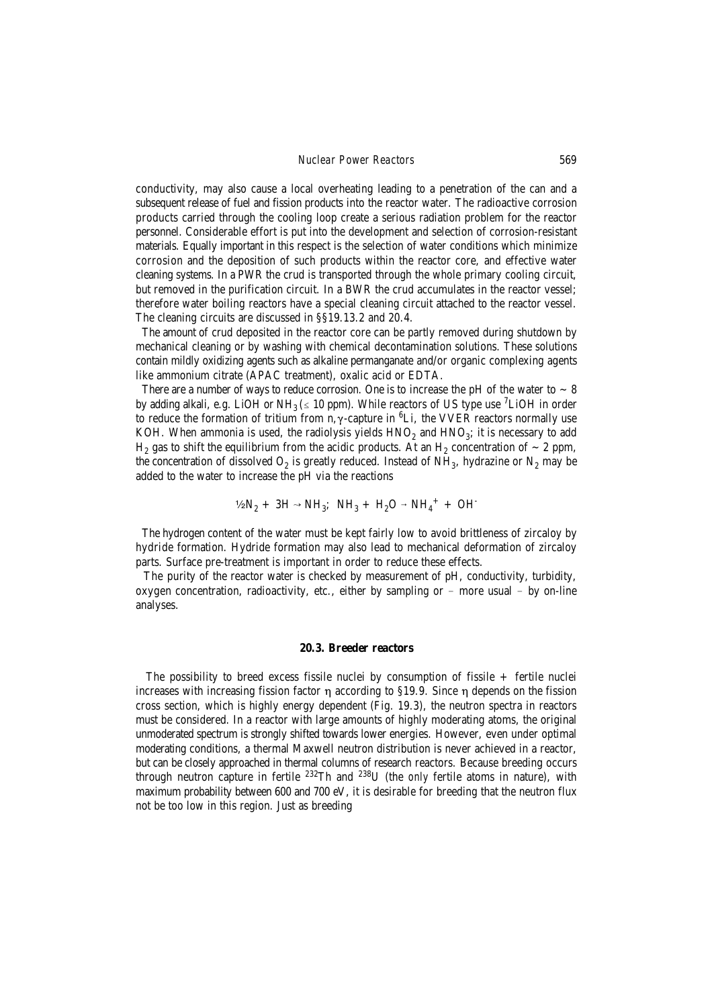conductivity, may also cause a local overheating leading to a penetration of the can and a subsequent release of fuel and fission products into the reactor water. The radioactive corrosion products carried through the cooling loop create a serious radiation problem for the reactor personnel. Considerable effort is put into the development and selection of corrosion-resistant materials. Equally important in this respect is the selection of water conditions which minimize corrosion and the deposition of such products within the reactor core, and effective water cleaning systems. In a PWR the crud is transported through the whole primary cooling circuit, but removed in the purification circuit. In a BWR the crud accumulates in the reactor vessel; therefore water boiling reactors have a special cleaning circuit attached to the reactor vessel. The cleaning circuits are discussed in §§19.13.2 and 20.4.

 The amount of crud deposited in the reactor core can be partly removed during shutdown by mechanical cleaning or by washing with chemical decontamination solutions. These solutions contain mildly oxidizing agents such as alkaline permanganate and/or organic complexing agents like ammonium citrate (APAC treatment), oxalic acid or EDTA.

There are a number of ways to reduce corrosion. One is to increase the pH of the water to  $\sim 8$ by adding alkali, e.g. LiOH or NH<sub>3</sub> ( $\leq$  10 ppm). While reactors of US type use <sup>7</sup>LiOH in order to reduce the formation of tritium from n,  $\gamma$ -capture in <sup>6</sup>Li, the VVER reactors normally use KOH. When ammonia is used, the radiolysis yields  $HNO<sub>2</sub>$  and  $HNO<sub>3</sub>$ ; it is necessary to add  $H_2$  gas to shift the equilibrium from the acidic products. At an  $H_2$  concentration of  $\sim$  2 ppm, the concentration of dissolved  $O_2$  is greatly reduced. Instead of NH<sub>3</sub>, hydrazine or N<sub>2</sub> may be added to the water to increase the pH via the reactions

$$
1\!\!{\not\!2} N_2 + 3H \rightarrow NH_3; \ NH_3 + \ H_2O \rightarrow NH_4{}^+ + \ OH^-
$$

 The hydrogen content of the water must be kept fairly low to avoid brittleness of zircaloy by hydride formation. Hydride formation may also lead to mechanical deformation of zircaloy parts. Surface pre-treatment is important in order to reduce these effects.

 The purity of the reactor water is checked by measurement of pH, conductivity, turbidity, oxygen concentration, radioactivity, etc., either by sampling or  $-$  more usual  $-$  by on-line analyses.

## **20.3. Breeder reactors**

The possibility to breed excess fissile nuclei by consumption of fissile  $+$  fertile nuclei increases with increasing fission factor  $\eta$  according to §19.9. Since  $\eta$  depends on the fission cross section, which is highly energy dependent (Fig. 19.3), the neutron spectra in reactors must be considered. In a reactor with large amounts of highly moderating atoms, the original unmoderated spectrum is strongly shifted towards lower energies. However, even under optimal moderating conditions, a thermal Maxwell neutron distribution is never achieved in a reactor, but can be closely approached in thermal columns of research reactors. Because breeding occurs through neutron capture in fertile <sup>232</sup>Th and <sup>238</sup>U (the *only* fertile atoms in nature), with maximum probability between 600 and 700 eV, it is desirable for breeding that the neutron flux not be too low in this region. Just as breeding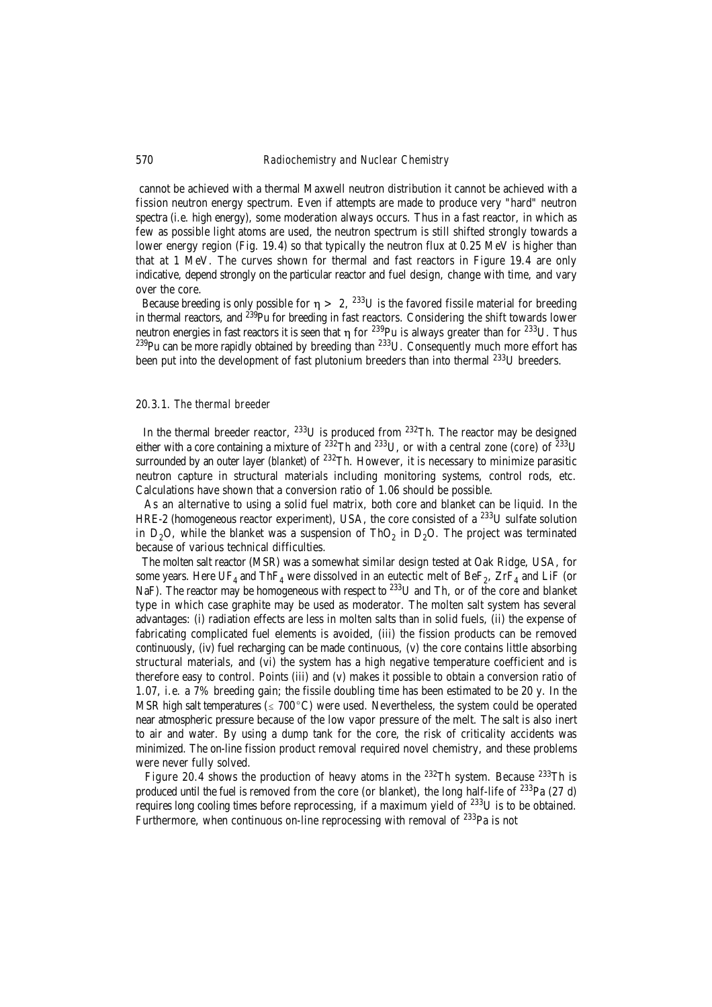cannot be achieved with a thermal Maxwell neutron distribution it cannot be achieved with a fission neutron energy spectrum. Even if attempts are made to produce very "hard" neutron spectra (i.e. high energy), some moderation always occurs. Thus in a fast reactor, in which as few as possible light atoms are used, the neutron spectrum is still shifted strongly towards a lower energy region (Fig. 19.4) so that typically the neutron flux at 0.25 MeV is higher than that at 1 MeV. The curves shown for thermal and fast reactors in Figure 19.4 are only indicative, depend strongly on the particular reactor and fuel design, change with time, and vary over the core.

Because breeding is only possible for  $\eta > 2$ , <sup>233</sup>U is the favored fissile material for breeding in thermal reactors, and <sup>239</sup>Pu for breeding in fast reactors. Considering the shift towards lower neutron energies in fast reactors it is seen that  $\eta$  for <sup>239</sup>Pu is always greater than for <sup>233</sup>U. Thus  $^{239}$ Pu can be more rapidly obtained by breeding than  $^{233}$ U. Consequently much more effort has been put into the development of fast plutonium breeders than into thermal  $^{233}$ U breeders.

## 20.3.1. *The thermal breeder*

In the thermal breeder reactor,  $^{233}U$  is produced from  $^{232}Th$ . The reactor may be designed either with a core containing a mixture of <sup>232</sup>Th and <sup>233</sup>U, or with a central zone (*core*) of <sup>233</sup>U surrounded by an outer layer (*blanket*) of <sup>232</sup>Th. However, it is necessary to minimize parasitic neutron capture in structural materials including monitoring systems, control rods, etc. Calculations have shown that a conversion ratio of 1.06 should be possible.

 As an alternative to using a solid fuel matrix, both core and blanket can be liquid. In the HRE-2 (homogeneous reactor experiment), USA, the core consisted of a  $^{233}$ U sulfate solution in  $D_2O$ , while the blanket was a suspension of Th $O_2$  in  $D_2O$ . The project was terminated because of various technical difficulties.

 The molten salt reactor (MSR) was a somewhat similar design tested at Oak Ridge, USA, for some years. Here UF<sub>4</sub> and ThF<sub>4</sub> were dissolved in an eutectic melt of BeF<sub>2</sub>, ZrF<sub>4</sub> and LiF (or NaF). The reactor may be homogeneous with respect to  $^{233}U$  and Th, or of the core and blanket type in which case graphite may be used as moderator. The molten salt system has several advantages: (i) radiation effects are less in molten salts than in solid fuels, (ii) the expense of fabricating complicated fuel elements is avoided, (iii) the fission products can be removed continuously, (iv) fuel recharging can be made continuous, (v) the core contains little absorbing structural materials, and (vi) the system has a high negative temperature coefficient and is therefore easy to control. Points (iii) and (v) makes it possible to obtain a conversion ratio of 1.07, i.e. a 7% breeding gain; the fissile doubling time has been estimated to be 20 y. In the MSR high salt temperatures ( $\leq 700^{\circ}$ C) were used. Nevertheless, the system could be operated near atmospheric pressure because of the low vapor pressure of the melt. The salt is also inert to air and water. By using a dump tank for the core, the risk of criticality accidents was minimized. The on-line fission product removal required novel chemistry, and these problems were never fully solved.

Figure 20.4 shows the production of heavy atoms in the  $232$ Th system. Because  $233$ Th is produced until the fuel is removed from the core (or blanket), the long half-life of  $^{233}$ Pa (27 d) requires long cooling times before reprocessing, if a maximum yield of  $^{233}U$  is to be obtained. Furthermore, when continuous on-line reprocessing with removal of  $^{233}$ Pa is not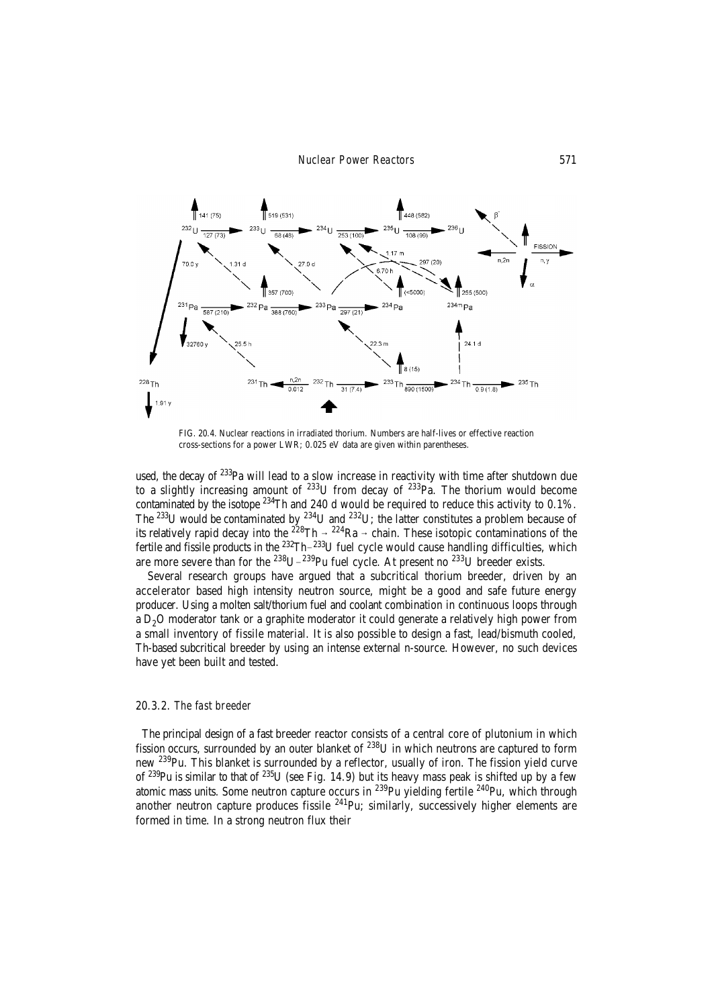

FIG. 20.4. Nuclear reactions in irradiated thorium. Numbers are half-lives or effective reaction cross-sections for a power LWR; 0.025 eV data are given within parentheses.

used, the decay of <sup>233</sup>Pa will lead to a slow increase in reactivity with time after shutdown due to a slightly increasing amount of  $^{233}U$  from decay of  $^{233}Pa$ . The thorium would become contaminated by the isotope  $^{234}$ Th and 240 d would be required to reduce this activity to 0.1%. The <sup>233</sup>U would be contaminated by <sup>234</sup>U and <sup>232</sup>U; the latter constitutes a problem because of its relatively rapid decay into the <sup>228</sup>Th  $\rightarrow$  <sup>224</sup>Ra  $\rightarrow$  chain. These isotopic contaminations of the fertile and fissile products in the  $^{232}$ Th $^{233}$ U fuel cycle would cause handling difficulties, which are more severe than for the  $^{238}U^{-239}Pu$  fuel cycle. At present no  $^{233}U$  breeder exists.

 Several research groups have argued that a subcritical thorium breeder, driven by an accelerator based high intensity neutron source, might be a good and safe future energy producer. Using a molten salt/thorium fuel and coolant combination in continuous loops through a D<sub>2</sub>O moderator tank or a graphite moderator it could generate a relatively high power from a small inventory of fissile material. It is also possible to design a fast, lead/bismuth cooled, Th-based subcritical breeder by using an intense external n-source. However, no such devices have yet been built and tested.

## 20.3.2. *The fast breeder*

 The principal design of a fast breeder reactor consists of a central core of plutonium in which fission occurs, surrounded by an outer blanket of  $^{238}U$  in which neutrons are captured to form new <sup>239</sup>Pu. This blanket is surrounded by a reflector, usually of iron. The fission yield curve of <sup>239</sup>Pu is similar to that of <sup>235</sup>U (see Fig. 14.9) but its heavy mass peak is shifted up by a few atomic mass units. Some neutron capture occurs in  $^{239}$ Pu yielding fertile  $^{240}$ Pu, which through another neutron capture produces fissile  $^{241}$ Pu; similarly, successively higher elements are formed in time. In a strong neutron flux their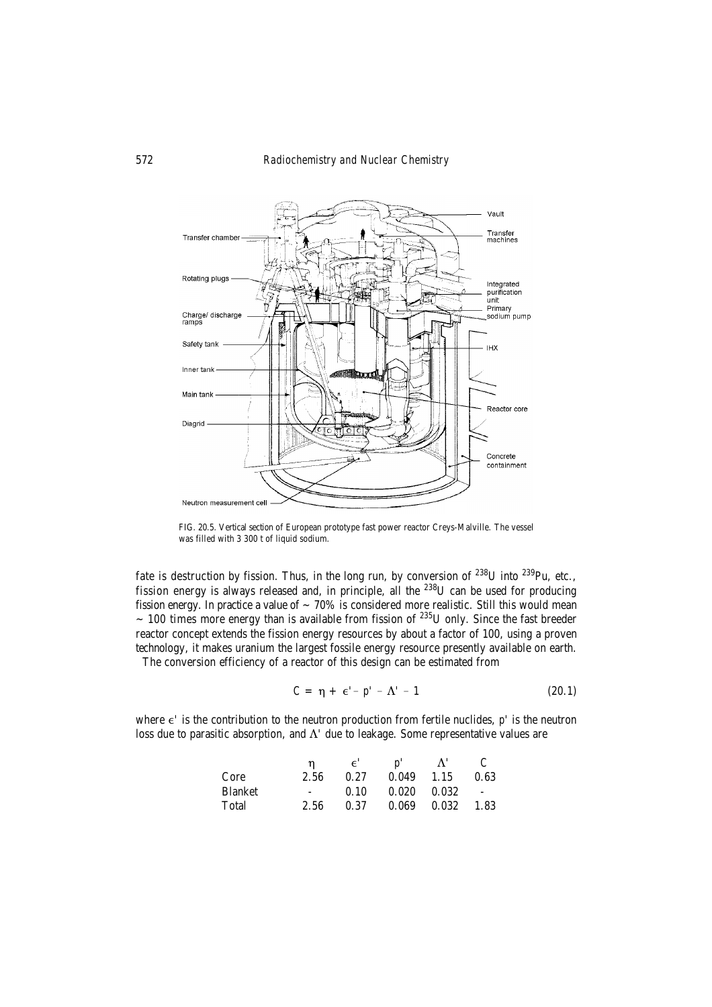

FIG. 20.5. Vertical section of European prototype fast power reactor Creys-Malville. The vessel was filled with 3 300 t of liquid sodium.

fate is destruction by fission. Thus, in the long run, by conversion of  $^{238}$ U into  $^{239}$ Pu, etc., fission energy is always released and, in principle, all the  $^{238}$ U can be used for producing fission energy. In practice a value of  $\sim 70\%$  is considered more realistic. Still this would mean  $\sim$  100 times more energy than is available from fission of <sup>235</sup>U only. Since the fast breeder reactor concept extends the fission energy resources by about a factor of 100, using a proven technology, it makes uranium the largest fossile energy resource presently available on earth.

The conversion efficiency of a reactor of this design can be estimated from

$$
C = \eta + \epsilon' - p' - \Lambda' - 1 \qquad (20.1)
$$

where  $\epsilon'$  is the contribution to the neutron production from fertile nuclides,  $p'$  is the neutron loss due to parasitic absorption, and  $\Lambda$ ' due to leakage. Some representative values are

| $\eta$  | $\epsilon'$ | $p'$ | $\Lambda'$ | $C$   |      |
|---------|-------------|------|------------|-------|------|
| Core    | 2.56        | 0.27 | 0.049      | 1.15  | 0.63 |
| Blanket | -           | 0.10 | 0.020      | 0.032 | -    |
| Total   | 2.56        | 0.37 | 0.069      | 0.032 | 1.83 |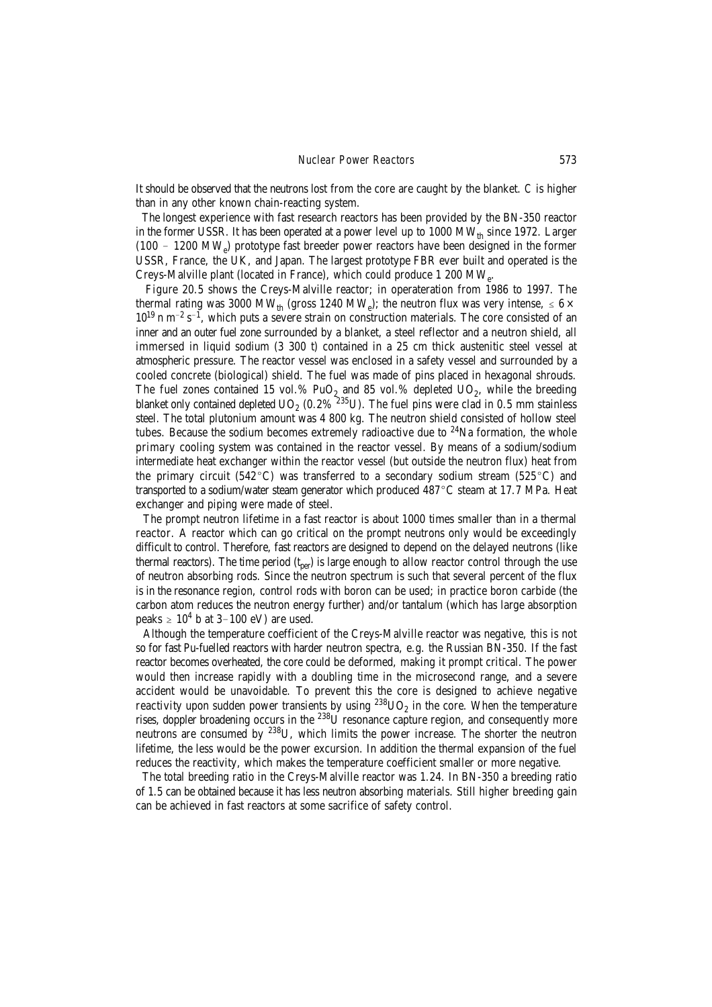It should be observed that the neutrons lost from the core are caught by the blanket. *C* is higher than in any other known chain-reacting system.

 The longest experience with fast research reactors has been provided by the BN-350 reactor in the former USSR. It has been operated at a power level up to  $1000$  MW<sub>th</sub> since 1972. Larger  $(100 - 1200 \text{ MW})$  prototype fast breeder power reactors have been designed in the former USSR, France, the UK, and Japan. The largest prototype FBR ever built and operated is the Creys-Malville plant (located in France), which could produce  $1200 \text{ MW}_{e}$ .

 Figure 20.5 shows the Creys-Malville reactor; in operateration from 1986 to 1997. The thermal rating was 3000 MW<sub>th</sub> (gross 1240 MW<sub>e</sub>); the neutron flux was very intense,  $\leq 6 \times$  $10^{19}$  n m<sup>-2</sup> s<sup>-1</sup>, which puts a severe strain on construction materials. The core consisted of an inner and an outer fuel zone surrounded by a blanket, a steel reflector and a neutron shield, all immersed in liquid sodium (3 300 t) contained in a 25 cm thick austenitic steel vessel at atmospheric pressure. The reactor vessel was enclosed in a safety vessel and surrounded by a cooled concrete (biological) shield. The fuel was made of pins placed in hexagonal shrouds. The fuel zones contained 15 vol.% PuO<sub>2</sub> and 85 vol.% depleted  $UO_2$ , while the breeding blanket only contained depleted  $UO_2$  (0.2%  $^{235}U$ ). The fuel pins were clad in 0.5 mm stainless steel. The total plutonium amount was 4 800 kg. The neutron shield consisted of hollow steel tubes. Because the sodium becomes extremely radioactive due to  $^{24}$ Na formation, the whole primary cooling system was contained in the reactor vessel. By means of a sodium/sodium intermediate heat exchanger within the reactor vessel (but outside the neutron flux) heat from the primary circuit (542°C) was transferred to a secondary sodium stream (525°C) and transported to a sodium/water steam generator which produced 487°C steam at 17.7 MPa. Heat exchanger and piping were made of steel.

 The prompt neutron lifetime in a fast reactor is about 1000 times smaller than in a thermal reactor. A reactor which can go critical on the prompt neutrons only would be exceedingly difficult to control. Therefore, fast reactors are designed to depend on the delayed neutrons (like thermal reactors). The time period ( $t_{\text{per}}$ ) is large enough to allow reactor control through the use of neutron absorbing rods. Since the neutron spectrum is such that several percent of the flux is in the resonance region, control rods with boron can be used; in practice boron carbide (the carbon atom reduces the neutron energy further) and/or tantalum (which has large absorption peaks  $\geq 10^4$  b at 3-100 eV) are used.

 Although the temperature coefficient of the Creys-Malville reactor was negative, this is not so for fast Pu-fuelled reactors with harder neutron spectra, e.g. the Russian BN-350. If the fast reactor becomes overheated, the core could be deformed, making it prompt critical. The power would then increase rapidly with a doubling time in the microsecond range, and a severe accident would be unavoidable. To prevent this the core is designed to achieve negative reactivity upon sudden power transients by using  $^{238} \text{UO}_2$  in the core. When the temperature rises, doppler broadening occurs in the  $^{238} \text{U}$  resonance capture region, and consequently more neutrons are consumed by  $238U$ , which limits the power increase. The shorter the neutron lifetime, the less would be the power excursion. In addition the thermal expansion of the fuel reduces the reactivity, which makes the temperature coefficient smaller or more negative.

The total breeding ratio in the Creys-Malville reactor was 1.24. In BN-350 a breeding ratio of 1.5 can be obtained because it has less neutron absorbing materials. Still higher breeding gain can be achieved in fast reactors at some sacrifice of safety control.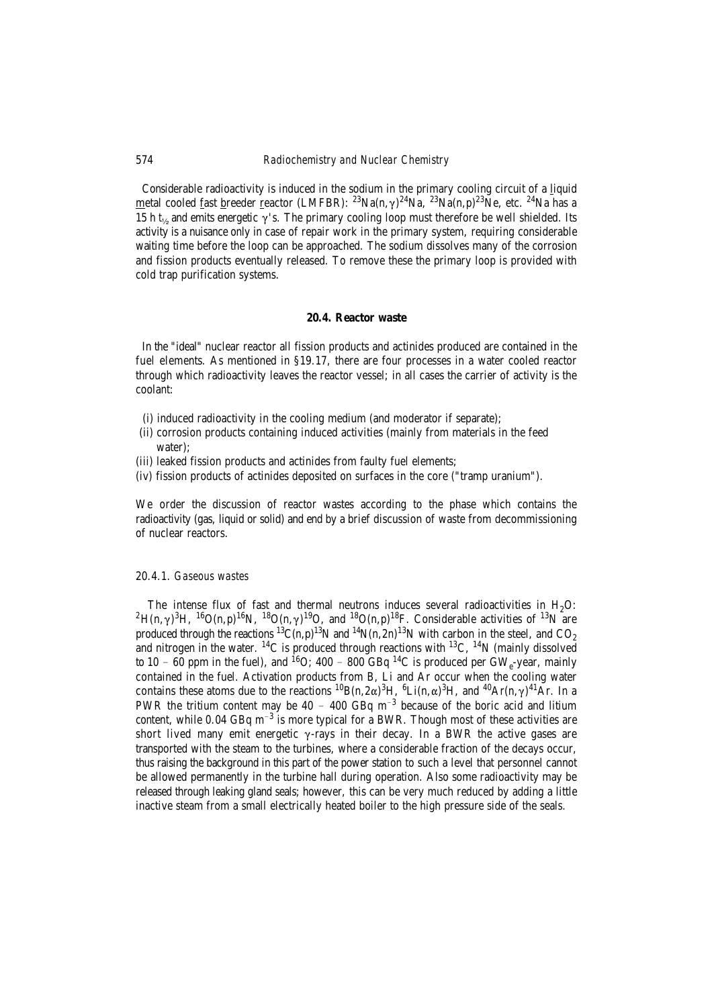Considerable radioactivity is induced in the sodium in the primary cooling circuit of a liquid metal cooled fast breeder reactor (LMFBR):  $^{23}Na(n,\gamma)^{24}Na$ ,  $^{23}Na(n,p)^{23}Ne$ , etc.  $^{24}Na$  has a 15 h  $t_{14}$  and emits energetic  $\gamma$ 's. The primary cooling loop must therefore be well shielded. Its activity is a nuisance only in case of repair work in the primary system, requiring considerable waiting time before the loop can be approached. The sodium dissolves many of the corrosion and fission products eventually released. To remove these the primary loop is provided with cold trap purification systems.

#### **20.4. Reactor waste**

 In the "ideal" nuclear reactor all fission products and actinides produced are contained in the fuel elements. As mentioned in §19.17, there are four processes in a water cooled reactor through which radioactivity leaves the reactor vessel; in all cases the carrier of activity is the coolant:

- (i) induced radioactivity in the cooling medium (and moderator if separate);
- (ii) corrosion products containing induced activities (mainly from materials in the feed water).
- (iii) leaked fission products and actinides from faulty fuel elements;
- (iv) fission products of actinides deposited on surfaces in the core ("tramp uranium").

We order the discussion of reactor wastes according to the phase which contains the radioactivity (gas, liquid or solid) and end by a brief discussion of waste from decommissioning of nuclear reactors.

#### 20.4.1. *Gaseous wastes*

The intense flux of fast and thermal neutrons induces several radioactivities in  $H<sub>2</sub>O$ :  ${}^{2}$ H(n, $\gamma$ )<sup>3</sup>H, <sup>16</sup>O(n,p)<sup>16</sup>N, <sup>18</sup>O(n, $\gamma$ )<sup>19</sup>O, and <sup>18</sup>O(n,p)<sup>18</sup>F. Considerable activities of <sup>13</sup>N are produced through the reactions <sup>13</sup>C(n,p)<sup>13</sup>N and <sup>14</sup>N(n,2n)<sup>13</sup>N with carbon in the steel, and CO<sub>2</sub> produced unough the reactions  $C(n, p)$  is and  $N(n, \epsilon n)$  is with carbon in the steet, and  $C_2$  and nitrogen in the water. <sup>14</sup>C is produced through reactions with <sup>13</sup>C, <sup>14</sup>N (mainly dissolved to 10 – 60 ppm in the fuel), and <sup>16</sup>O; 400 – 800 GBq <sup>14</sup>C is produced per GW<sub>e</sub>-year, mainly contained in the fuel. Activation products from B, Li and Ar occur when the cooling water contains these atoms due to the reactions  ${}^{10}B(n,2\alpha){}^3H$ ,  ${}^{6}Li(n,\alpha){}^3H$ , and  ${}^{40}Ar(n,\gamma){}^{41}Ar$ . In a PWR the tritium content may be  $40 - 400$  GBq m<sup>-3</sup> because of the boric acid and litium content, while 0.04 GBq  $m^{-3}$  is more typical for a BWR. Though most of these activities are short lived many emit energetic  $\gamma$ -rays in their decay. In a BWR the active gases are transported with the steam to the turbines, where a considerable fraction of the decays occur, thus raising the background in this part of the power station to such a level that personnel cannot be allowed permanently in the turbine hall during operation. Also some radioactivity may be released through leaking gland seals; however, this can be very much reduced by adding a little inactive steam from a small electrically heated boiler to the high pressure side of the seals.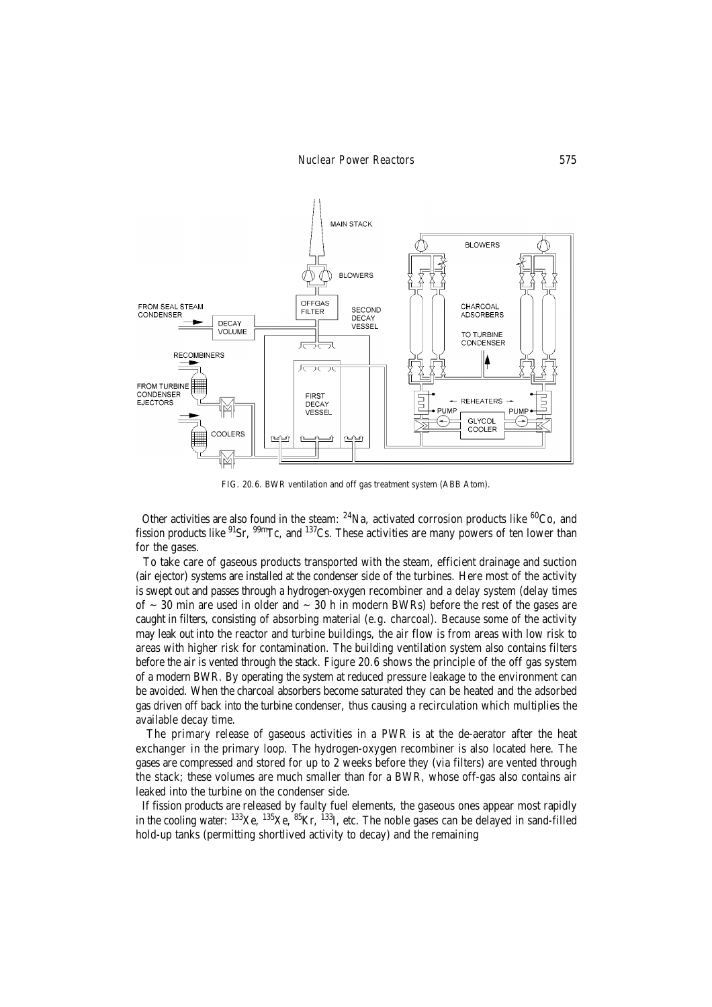

FIG. 20.6. BWR ventilation and off gas treatment system (ABB Atom).

Other activities are also found in the steam:  $^{24}$ Na, activated corrosion products like  $^{60}$ Co, and fission products like  $91$ Sr,  $99m$ Tc, and  $137$ Cs. These activities are many powers of ten lower than for the gases.

 To take care of gaseous products transported with the steam, efficient drainage and suction (air ejector) systems are installed at the condenser side of the turbines. Here most of the activity is swept out and passes through a hydrogen-oxygen recombiner and a delay system (delay times of  $\sim$  30 min are used in older and  $\sim$  30 h in modern BWRs) before the rest of the gases are caught in filters, consisting of absorbing material (e.g. charcoal). Because some of the activity may leak out into the reactor and turbine buildings, the air flow is from areas with low risk to areas with higher risk for contamination. The building ventilation system also contains filters before the air is vented through the stack. Figure 20.6 shows the principle of the off gas system of a modern BWR. By operating the system at reduced pressure leakage to the environment can be avoided. When the charcoal absorbers become saturated they can be heated and the adsorbed gas driven off back into the turbine condenser, thus causing a recirculation which multiplies the available decay time.

 The primary release of gaseous activities in a PWR is at the de-aerator after the heat exchanger in the primary loop. The hydrogen-oxygen recombiner is also located here. The gases are compressed and stored for up to 2 weeks before they (via filters) are vented through the stack; these volumes are much smaller than for a BWR, whose off-gas also contains air leaked into the turbine on the condenser side.

 If fission products are released by faulty fuel elements, the gaseous ones appear most rapidly in the cooling water:  $^{133}$ Xe,  $^{135}$ Xe,  $^{85}$ Kr,  $^{133}$ I, etc. The noble gases can be delayed in sand-filled hold-up tanks (permitting shortlived activity to decay) and the remaining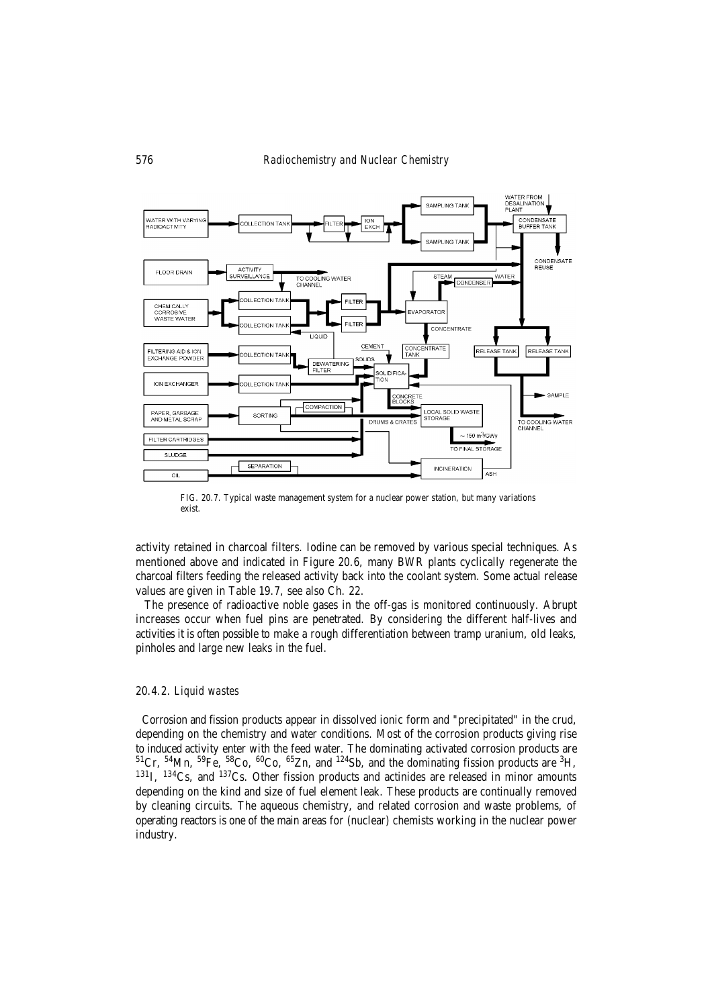

FIG. 20.7. Typical waste management system for a nuclear power station, but many variations exist.

activity retained in charcoal filters. Iodine can be removed by various special techniques. As mentioned above and indicated in Figure 20.6, many BWR plants cyclically regenerate the charcoal filters feeding the released activity back into the coolant system. Some actual release values are given in Table 19.7, see also Ch. 22.

 The presence of radioactive noble gases in the off-gas is monitored continuously. Abrupt increases occur when fuel pins are penetrated. By considering the different half-lives and activities it is often possible to make a rough differentiation between tramp uranium, old leaks, pinholes and large new leaks in the fuel.

## 20.4.2. *Liquid wastes*

 Corrosion and fission products appear in dissolved ionic form and "precipitated" in the crud, depending on the chemistry and water conditions. Most of the corrosion products giving rise to induced activity enter with the feed water. The dominating activated corrosion products are  ${}^{51}Cr$ ,  ${}^{54}Mn$ ,  ${}^{59}Fe$ ,  ${}^{58}Co$ ,  ${}^{60}Co$ ,  ${}^{65}Zn$ , and  ${}^{124}Sb$ , and the dominating fission products are  ${}^{3}H$ ,  $^{131}$ I,  $^{134}$ Cs, and  $^{137}$ Cs. Other fission products and actinides are released in minor amounts depending on the kind and size of fuel element leak. These products are continually removed by cleaning circuits. The aqueous chemistry, and related corrosion and waste problems, of operating reactors is one of the main areas for (nuclear) chemists working in the nuclear power industry.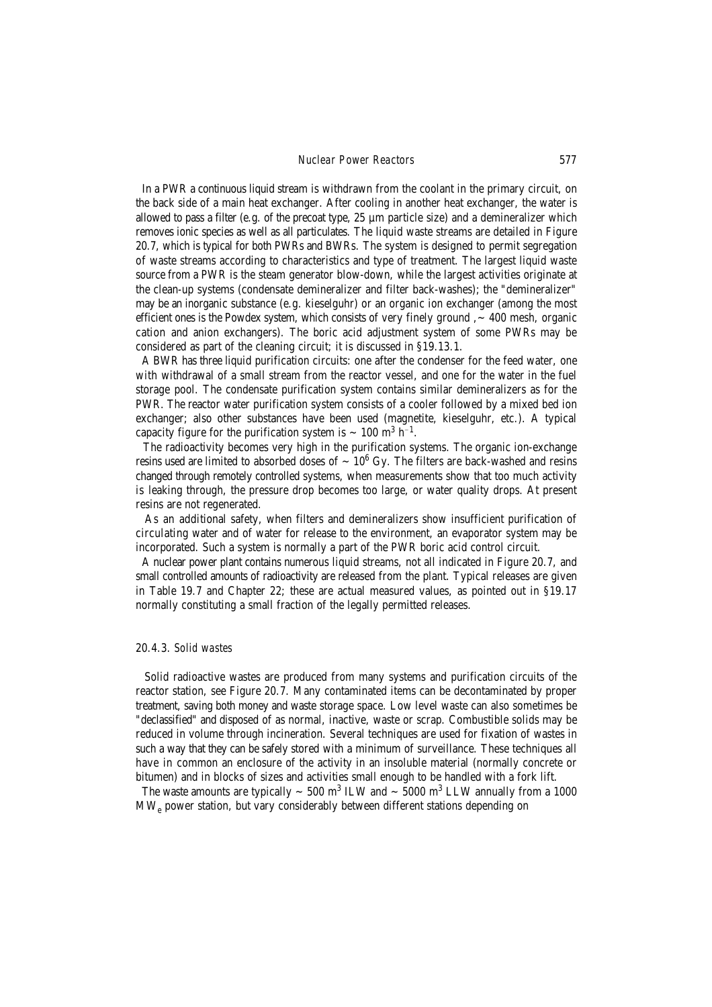#### *Nuclear Power Reactors* 577

 In a PWR a continuous liquid stream is withdrawn from the coolant in the primary circuit, on the back side of a main heat exchanger. After cooling in another heat exchanger, the water is allowed to pass a filter (e.g. of the precoat type, 25 µm particle size) and a demineralizer which removes ionic species as well as all particulates. The liquid waste streams are detailed in Figure 20.7, which is typical for both PWRs and BWRs. The system is designed to permit segregation of waste streams according to characteristics and type of treatment. The largest liquid waste source from a PWR is the steam generator blow-down, while the largest activities originate at the clean-up systems (condensate demineralizer and filter back-washes); the "demineralizer" may be an inorganic substance (e.g. kieselguhr) or an organic ion exchanger (among the most efficient ones is the Powdex system, which consists of very finely ground  $\sim$  400 mesh, organic cation and anion exchangers). The boric acid adjustment system of some PWRs may be considered as part of the cleaning circuit; it is discussed in §19.13.1.

 A BWR has three liquid purification circuits: one after the condenser for the feed water, one with withdrawal of a small stream from the reactor vessel, and one for the water in the fuel storage pool. The condensate purification system contains similar demineralizers as for the PWR. The reactor water purification system consists of a cooler followed by a mixed bed ion exchanger; also other substances have been used (magnetite, kieselguhr, etc.). A typical capacity figure for the purification system is  $\sim 100 \text{ m}^3 \text{ h}^{-1}$ .

 The radioactivity becomes very high in the purification systems. The organic ion-exchange resins used are limited to absorbed doses of  $\sim 10^6$  Gy. The filters are back-washed and resins changed through remotely controlled systems, when measurements show that too much activity is leaking through, the pressure drop becomes too large, or water quality drops. At present resins are not regenerated.

 As an additional safety, when filters and demineralizers show insufficient purification of circulating water and of water for release to the environment, an evaporator system may be incorporated. Such a system is normally a part of the PWR boric acid control circuit.

 A nuclear power plant contains numerous liquid streams, not all indicated in Figure 20.7, and small controlled amounts of radioactivity are released from the plant. Typical releases are given in Table 19.7 and Chapter 22; these are actual measured values, as pointed out in §19.17 normally constituting a small fraction of the legally permitted releases.

## 20.4.3. *Solid wastes*

 Solid radioactive wastes are produced from many systems and purification circuits of the reactor station, see Figure 20.7. Many contaminated items can be decontaminated by proper treatment, saving both money and waste storage space. Low level waste can also sometimes be "declassified" and disposed of as normal, inactive, waste or scrap. Combustible solids may be reduced in volume through incineration. Several techniques are used for fixation of wastes in such a way that they can be safely stored with a minimum of surveillance. These techniques all have in common an enclosure of the activity in an insoluble material (normally concrete or bitumen) and in blocks of sizes and activities small enough to be handled with a fork lift.

The waste amounts are typically  $\sim$  500 m<sup>3</sup> ILW and  $\sim$  5000 m<sup>3</sup> LLW annually from a 1000 MW, power station, but vary considerably between different stations depending on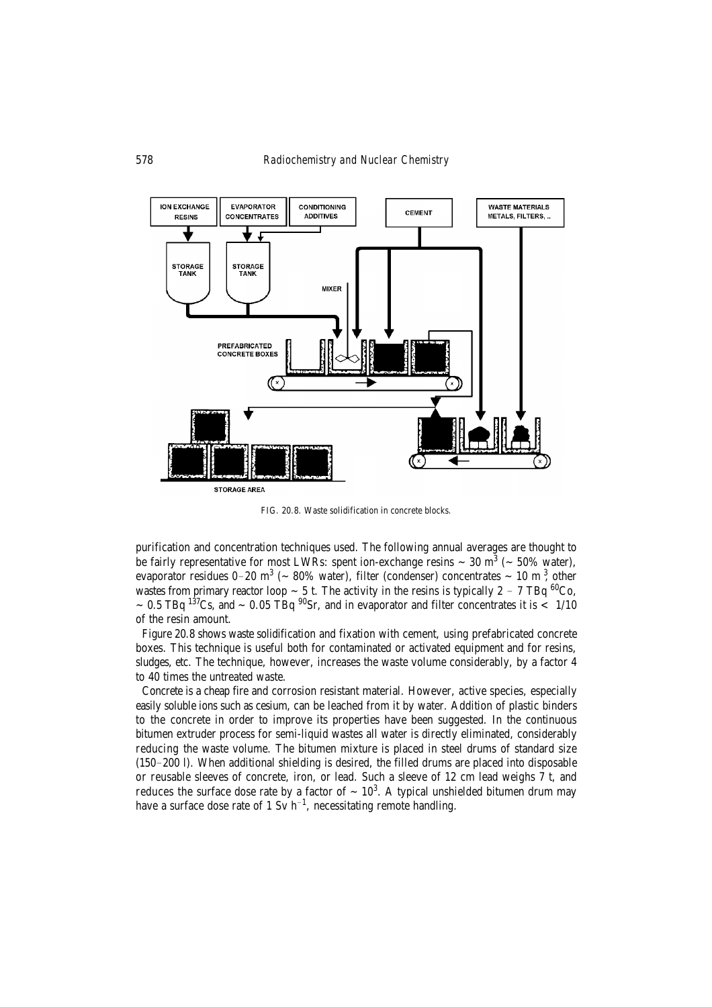

FIG. 20.8. Waste solidification in concrete blocks.

purification and concentration techniques used. The following annual averages are thought to be fairly representative for most LWRs: spent ion-exchange resins  $\sim 30$  m<sup>3</sup> ( $\sim 50\%$  water), evaporator residues  $0-20$  m<sup>3</sup> ( $\sim 80\%$  water), filter (condenser) concentrates  $\sim 10$  m<sup>3</sup>, other wastes from primary reactor loop  $\sim$  5 t. The activity in the resins is typically 2 - 7 TBq <sup>60</sup>Co,  $\sim$  0.5 TBq <sup>137</sup>Cs, and  $\sim$  0.05 TBq <sup>90</sup>Sr, and in evaporator and filter concentrates it is  $\lt$  1/10 of the resin amount.

 Figure 20.8 shows waste solidification and fixation with cement, using prefabricated concrete boxes. This technique is useful both for contaminated or activated equipment and for resins, sludges, etc. The technique, however, increases the waste volume considerably, by a factor 4 to 40 times the untreated waste.

 Concrete is a cheap fire and corrosion resistant material. However, active species, especially easily soluble ions such as cesium, can be leached from it by water. Addition of plastic binders to the concrete in order to improve its properties have been suggested. In the continuous bitumen extruder process for semi-liquid wastes all water is directly eliminated, considerably reducing the waste volume. The bitumen mixture is placed in steel drums of standard size  $(150-200$  l). When additional shielding is desired, the filled drums are placed into disposable or reusable sleeves of concrete, iron, or lead. Such a sleeve of 12 cm lead weighs 7 t, and reduces the surface dose rate by a factor of  $\sim 10^3$ . A typical unshielded bitumen drum may have a surface dose rate of 1 Sv  $h^{-1}$ , necessitating remote handling.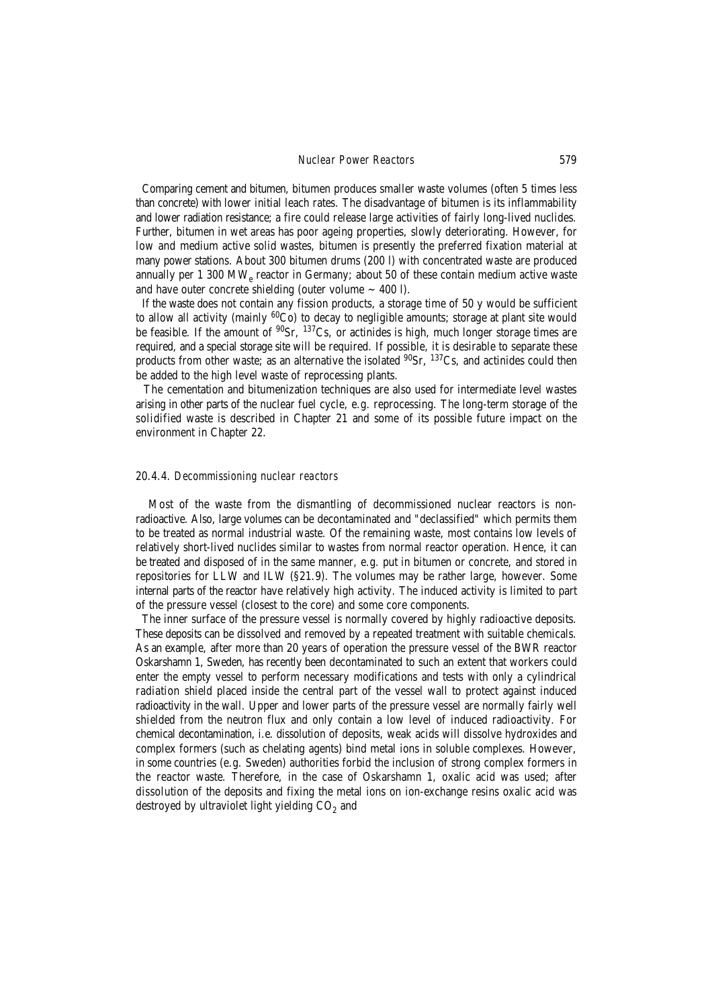#### *Nuclear Power Reactors* 579

 Comparing cement and bitumen, bitumen produces smaller waste volumes (often 5 times less than concrete) with lower initial leach rates. The disadvantage of bitumen is its inflammability and lower radiation resistance; a fire could release large activities of fairly long-lived nuclides. Further, bitumen in wet areas has poor ageing properties, slowly deteriorating. However, for low and medium active solid wastes, bitumen is presently the preferred fixation material at many power stations. About 300 bitumen drums (200 l) with concentrated waste are produced annually per 1 300 MW<sub>e</sub> reactor in Germany; about 50 of these contain medium active waste and have outer concrete shielding (outer volume  $\sim$  400 l).

 If the waste does not contain any fission products, a storage time of 50 y would be sufficient to allow all activity (mainly  ${}^{60}Co$ ) to decay to negligible amounts; storage at plant site would be feasible. If the amount of  $90\text{Sr}$ ,  $137\text{Cs}$ , or actinides is high, much longer storage times are required, and a special storage site will be required. If possible, it is desirable to separate these products from other waste; as an alternative the isolated  $^{90}Sr$ ,  $^{137}Cs$ , and actinides could then be added to the high level waste of reprocessing plants.

 The cementation and bitumenization techniques are also used for intermediate level wastes arising in other parts of the nuclear fuel cycle, e.g. reprocessing. The long-term storage of the solidified waste is described in Chapter 21 and some of its possible future impact on the environment in Chapter 22.

#### 20.4.4. *Decommissioning nuclear reactors*

 Most of the waste from the dismantling of decommissioned nuclear reactors is nonradioactive. Also, large volumes can be decontaminated and "declassified" which permits them to be treated as normal industrial waste. Of the remaining waste, most contains low levels of relatively short-lived nuclides similar to wastes from normal reactor operation. Hence, it can be treated and disposed of in the same manner, e.g. put in bitumen or concrete, and stored in repositories for LLW and ILW (§21.9). The volumes may be rather large, however. Some internal parts of the reactor have relatively high activity. The induced activity is limited to part of the pressure vessel (closest to the core) and some core components.

 The inner surface of the pressure vessel is normally covered by highly radioactive deposits. These deposits can be dissolved and removed by a repeated treatment with suitable chemicals. As an example, after more than 20 years of operation the pressure vessel of the BWR reactor Oskarshamn 1, Sweden, has recently been decontaminated to such an extent that workers could enter the empty vessel to perform necessary modifications and tests with only a cylindrical radiation shield placed inside the central part of the vessel wall to protect against induced radioactivity in the wall. Upper and lower parts of the pressure vessel are normally fairly well shielded from the neutron flux and only contain a low level of induced radioactivity. For chemical decontamination, i.e. dissolution of deposits, weak acids will dissolve hydroxides and complex formers (such as chelating agents) bind metal ions in soluble complexes. However, in some countries (e.g. Sweden) authorities forbid the inclusion of strong complex formers in the reactor waste. Therefore, in the case of Oskarshamn 1, oxalic acid was used; after dissolution of the deposits and fixing the metal ions on ion-exchange resins oxalic acid was destroyed by ultraviolet light yielding CO<sub>2</sub> and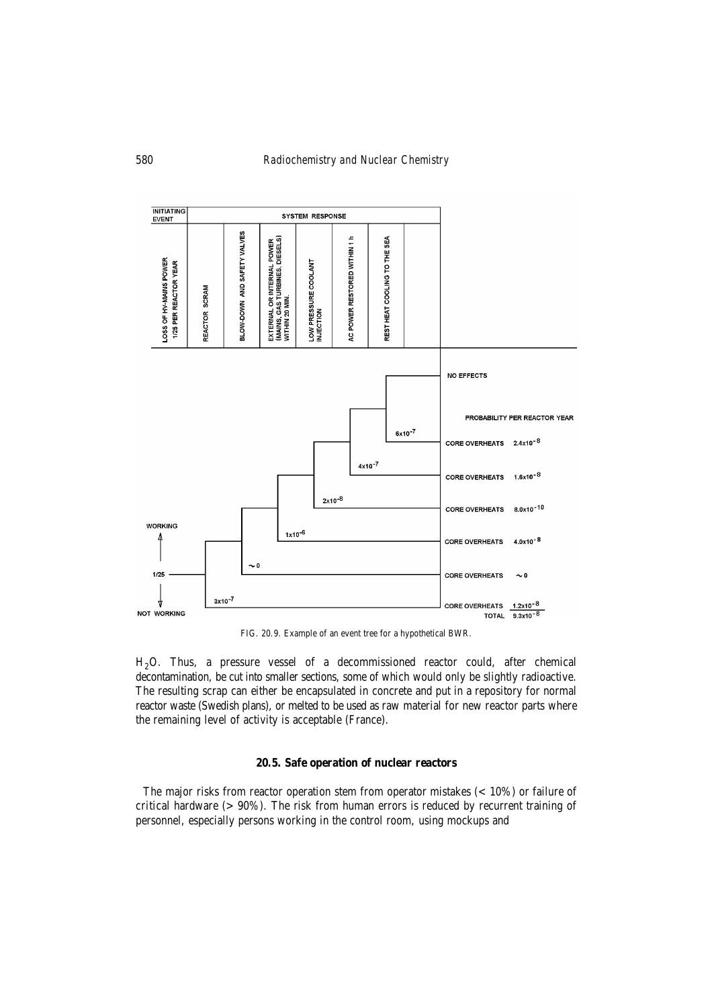## 580 *Radiochemistry and Nuclear Chemistry*



FIG. 20.9. Example of an event tree for a hypothetical BWR.

H<sub>2</sub>O. Thus, a pressure vessel of a decommissioned reactor could, after chemical decontamination, be cut into smaller sections, some of which would only be slightly radioactive. The resulting scrap can either be encapsulated in concrete and put in a repository for normal reactor waste (Swedish plans), or melted to be used as raw material for new reactor parts where the remaining level of activity is acceptable (France).

## **20.5. Safe operation of nuclear reactors**

The major risks from reactor operation stem from operator mistakes  $(< 10\%)$  or failure of critical hardware (>90%). The risk from human errors is reduced by recurrent training of personnel, especially persons working in the control room, using mockups and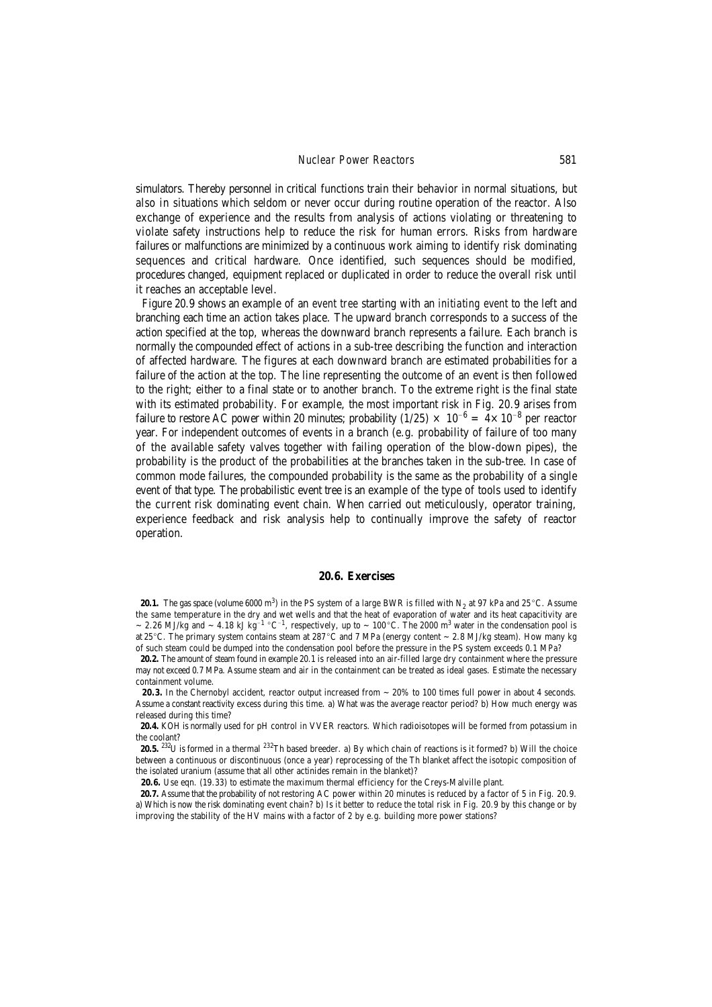simulators. Thereby personnel in critical functions train their behavior in normal situations, but also in situations which seldom or never occur during routine operation of the reactor. Also exchange of experience and the results from analysis of actions violating or threatening to violate safety instructions help to reduce the risk for human errors. Risks from hardware failures or malfunctions are minimized by a continuous work aiming to identify risk dominating sequences and critical hardware. Once identified, such sequences should be modified, procedures changed, equipment replaced or duplicated in order to reduce the overall risk until it reaches an acceptable level.

 Figure 20.9 shows an example of an *event tree* starting with an *initiating event* to the left and branching each time an action takes place. The upward branch corresponds to a success of the action specified at the top, whereas the downward branch represents a failure. Each branch is normally the compounded effect of actions in a sub-tree describing the function and interaction of affected hardware. The figures at each downward branch are estimated probabilities for a failure of the action at the top. The line representing the outcome of an event is then followed to the right; either to a final state or to another branch. To the extreme right is the final state with its estimated probability. For example, the most important risk in Fig. 20.9 arises from failure to restore AC power within 20 minutes; probability  $(1/25) \times 10^{-6} = 4 \times 10^{-8}$  per reactor year. For independent outcomes of events in a branch (e.g. probability of failure of too many of the available safety valves together with failing operation of the blow-down pipes), the probability is the product of the probabilities at the branches taken in the sub-tree. In case of common mode failures, the compounded probability is the same as the probability of a single event of that type. The probabilistic event tree is an example of the type of tools used to identify the current risk dominating event chain. When carried out meticulously, operator training, experience feedback and risk analysis help to continually improve the safety of reactor operation.

#### **20.6. Exercises**

**20.1.** The gas space (volume 6000 m<sup>3</sup>) in the PS system of a large BWR is filled with  $N_2$  at 97 kPa and 25°C. Assume the same temperature in the dry and wet wells and that the heat of evaporation of water and its heat capacitivity are  $\sim 2.26$  MJ/kg and  $\sim 4.18$  kJ kg<sup>-1</sup> °C<sup>-1</sup>, respectively, up to  $\sim 100$ °C. The 2000 m<sup>3</sup> water in at 25°C. The primary system contains steam at 287°C and 7 MPa (energy content  $\sim$  2.8 MJ/kg steam). How many kg of such steam could be dumped into the condensation pool before the pressure in the PS system exceeds 0.1 MPa?

 **20.2.** The amount of steam found in example 20.1 is released into an air-filled large dry containment where the pressure may not exceed 0.7 MPa. Assume steam and air in the containment can be treated as ideal gases. Estimate the necessary containment volume.

**20.3.** In the Chernobyl accident, reactor output increased from  $\sim$  20% to 100 times full power in about 4 seconds. Assume a constant reactivity excess during this time. a) What was the average reactor period? b) How much energy was released during this time?

 **20.4.** KOH is normally used for pH control in VVER reactors. Which radioisotopes will be formed from potassium in the coolant?

**20.5.** <sup>232</sup>U is formed in a thermal <sup>232</sup>Th based breeder. a) By which chain of reactions is it formed? b) Will the choice between a continuous or discontinuous (once a year) reprocessing of the Th blanket affect the isotopic composition of the isolated uranium (assume that all other actinides remain in the blanket)?

**20.6.** Use eqn. (19.33) to estimate the maximum thermal efficiency for the Creys-Malville plant.

 **20.7.** Assume that the probability of not restoring AC power within 20 minutes is reduced by a factor of 5 in Fig. 20.9. a) Which is now the risk dominating event chain? b) Is it better to reduce the total risk in Fig. 20.9 by this change or by improving the stability of the HV mains with a factor of 2 by e.g. building more power stations?